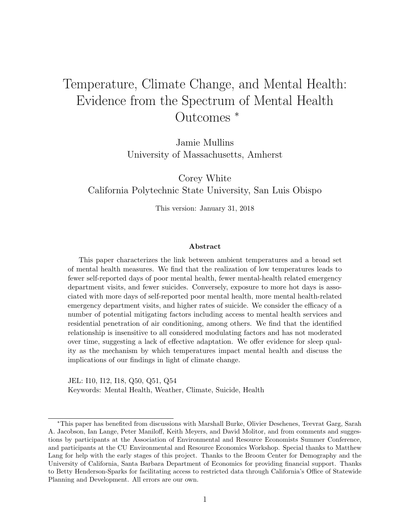# Temperature, Climate Change, and Mental Health: Evidence from the Spectrum of Mental Health Outcomes <sup>∗</sup>

Jamie Mullins University of Massachusetts, Amherst

Corey White California Polytechnic State University, San Luis Obispo

This version: January 31, 2018

#### Abstract

This paper characterizes the link between ambient temperatures and a broad set of mental health measures. We find that the realization of low temperatures leads to fewer self-reported days of poor mental health, fewer mental-health related emergency department visits, and fewer suicides. Conversely, exposure to more hot days is associated with more days of self-reported poor mental health, more mental health-related emergency department visits, and higher rates of suicide. We consider the efficacy of a number of potential mitigating factors including access to mental health services and residential penetration of air conditioning, among others. We find that the identified relationship is insensitive to all considered modulating factors and has not moderated over time, suggesting a lack of effective adaptation. We offer evidence for sleep quality as the mechanism by which temperatures impact mental health and discuss the implications of our findings in light of climate change.

JEL: I10, I12, I18, Q50, Q51, Q54 Keywords: Mental Health, Weather, Climate, Suicide, Health

<sup>∗</sup>This paper has benefited from discussions with Marshall Burke, Olivier Deschenes, Teevrat Garg, Sarah A. Jacobson, Ian Lange, Peter Maniloff, Keith Meyers, and David Molitor, and from comments and suggestions by participants at the Association of Environmental and Resource Economists Summer Conference, and participants at the CU Environmental and Resource Economics Workshop. Special thanks to Matthew Lang for help with the early stages of this project. Thanks to the Broom Center for Demography and the University of California, Santa Barbara Department of Economics for providing financial support. Thanks to Betty Henderson-Sparks for facilitating access to restricted data through California's Office of Statewide Planning and Development. All errors are our own.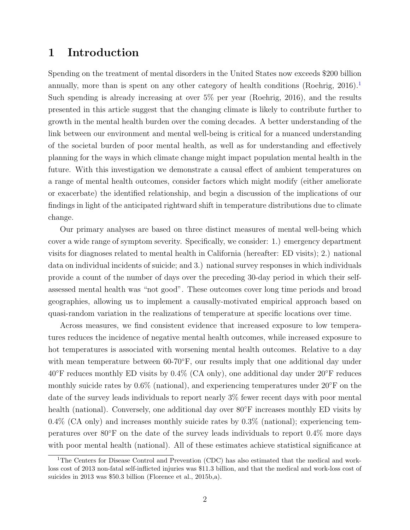## 1 Introduction

Spending on the treatment of mental disorders in the United States now exceeds \$200 billion annually, more than is spent on any other category of health conditions [\(Roehrig,](#page-27-0)  $2016$  $2016$  $2016$ ).<sup>1</sup> Such spending is already increasing at over 5% per year [\(Roehrig,](#page-27-0) [2016\)](#page-27-0), and the results presented in this article suggest that the changing climate is likely to contribute further to growth in the mental health burden over the coming decades. A better understanding of the link between our environment and mental well-being is critical for a nuanced understanding of the societal burden of poor mental health, as well as for understanding and effectively planning for the ways in which climate change might impact population mental health in the future. With this investigation we demonstrate a causal effect of ambient temperatures on a range of mental health outcomes, consider factors which might modify (either ameliorate or exacerbate) the identified relationship, and begin a discussion of the implications of our findings in light of the anticipated rightward shift in temperature distributions due to climate change.

Our primary analyses are based on three distinct measures of mental well-being which cover a wide range of symptom severity. Specifically, we consider: 1.) emergency department visits for diagnoses related to mental health in California (hereafter: ED visits); 2.) national data on individual incidents of suicide; and 3.) national survey responses in which individuals provide a count of the number of days over the preceding 30-day period in which their selfassessed mental health was "not good". These outcomes cover long time periods and broad geographies, allowing us to implement a causally-motivated empirical approach based on quasi-random variation in the realizations of temperature at specific locations over time.

Across measures, we find consistent evidence that increased exposure to low temperatures reduces the incidence of negative mental health outcomes, while increased exposure to hot temperatures is associated with worsening mental health outcomes. Relative to a day with mean temperature between 60-70<sup>°</sup>F, our results imply that one additional day under  $40\textdegree$ F reduces monthly ED visits by  $0.4\%$  (CA only), one additional day under  $20\textdegree$ F reduces monthly suicide rates by  $0.6\%$  (national), and experiencing temperatures under  $20\textdegree F$  on the date of the survey leads individuals to report nearly 3% fewer recent days with poor mental health (national). Conversely, one additional day over 80°F increases monthly ED visits by 0.4% (CA only) and increases monthly suicide rates by 0.3% (national); experiencing temperatures over 80◦F on the date of the survey leads individuals to report 0.4% more days with poor mental health (national). All of these estimates achieve statistical significance at

<span id="page-1-0"></span><sup>&</sup>lt;sup>1</sup>The Centers for Disease Control and Prevention (CDC) has also estimated that the medical and workloss cost of 2013 non-fatal self-inflicted injuries was \$11.3 billion, and that the medical and work-loss cost of suicides in 2013 was \$50.3 billion [\(Florence et al.,](#page-26-0) [2015b,](#page-26-0)[a\)](#page-26-1).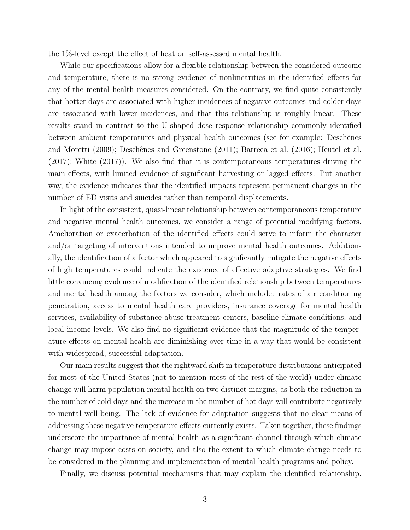the 1%-level except the effect of heat on self-assessed mental health.

While our specifications allow for a flexible relationship between the considered outcome and temperature, there is no strong evidence of nonlinearities in the identified effects for any of the mental health measures considered. On the contrary, we find quite consistently that hotter days are associated with higher incidences of negative outcomes and colder days are associated with lower incidences, and that this relationship is roughly linear. These results stand in contrast to the U-shaped dose response relationship commonly identified between ambient temperatures and physical health outcomes (see for example: Deschênes [and Moretti](#page-26-2) [\(2009\)](#page-26-2); Deschênes and Greenstone [\(2011\)](#page-26-3); [Barreca et al.](#page-25-0) [\(2016\)](#page-25-0); [Heutel et al.](#page-26-4) [\(2017\)](#page-26-4); [White](#page-27-1) [\(2017\)](#page-27-1)). We also find that it is contemporaneous temperatures driving the main effects, with limited evidence of significant harvesting or lagged effects. Put another way, the evidence indicates that the identified impacts represent permanent changes in the number of ED visits and suicides rather than temporal displacements.

In light of the consistent, quasi-linear relationship between contemporaneous temperature and negative mental health outcomes, we consider a range of potential modifying factors. Amelioration or exacerbation of the identified effects could serve to inform the character and/or targeting of interventions intended to improve mental health outcomes. Additionally, the identification of a factor which appeared to significantly mitigate the negative effects of high temperatures could indicate the existence of effective adaptive strategies. We find little convincing evidence of modification of the identified relationship between temperatures and mental health among the factors we consider, which include: rates of air conditioning penetration, access to mental health care providers, insurance coverage for mental health services, availability of substance abuse treatment centers, baseline climate conditions, and local income levels. We also find no significant evidence that the magnitude of the temperature effects on mental health are diminishing over time in a way that would be consistent with widespread, successful adaptation.

Our main results suggest that the rightward shift in temperature distributions anticipated for most of the United States (not to mention most of the rest of the world) under climate change will harm population mental health on two distinct margins, as both the reduction in the number of cold days and the increase in the number of hot days will contribute negatively to mental well-being. The lack of evidence for adaptation suggests that no clear means of addressing these negative temperature effects currently exists. Taken together, these findings underscore the importance of mental health as a significant channel through which climate change may impose costs on society, and also the extent to which climate change needs to be considered in the planning and implementation of mental health programs and policy.

Finally, we discuss potential mechanisms that may explain the identified relationship.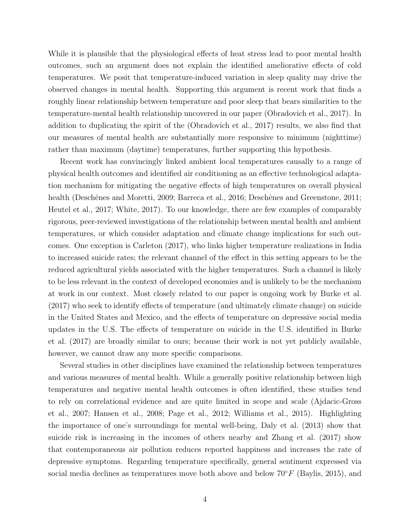While it is plausible that the physiological effects of heat stress lead to poor mental health outcomes, such an argument does not explain the identified ameliorative effects of cold temperatures. We posit that temperature-induced variation in sleep quality may drive the observed changes in mental health. Supporting this argument is recent work that finds a roughly linear relationship between temperature and poor sleep that bears similarities to the temperature-mental health relationship uncovered in our paper [\(Obradovich et al.,](#page-27-2) [2017\)](#page-27-2). In addition to duplicating the spirit of the [\(Obradovich et al.,](#page-27-2) [2017\)](#page-27-2) results, we also find that our measures of mental health are substantially more responsive to minimum (nighttime) rather than maximum (daytime) temperatures, further supporting this hypothesis.

Recent work has convincingly linked ambient local temperatures causally to a range of physical health outcomes and identified air conditioning as an effective technological adaptation mechanism for mitigating the negative effects of high temperatures on overall physical health (Deschênes and Moretti, [2009;](#page-26-2) [Barreca et al.,](#page-25-0) [2016;](#page-25-0) Deschênes and Greenstone, [2011;](#page-26-3) [Heutel et al.,](#page-26-4) [2017;](#page-26-4) [White,](#page-27-1) [2017\)](#page-27-1). To our knowledge, there are few examples of comparably rigorous, peer-reviewed investigations of the relationship between mental health and ambient temperatures, or which consider adaptation and climate change implications for such outcomes. One exception is [Carleton](#page-25-1) [\(2017\)](#page-25-1), who links higher temperature realizations in India to increased suicide rates; the relevant channel of the effect in this setting appears to be the reduced agricultural yields associated with the higher temperatures. Such a channel is likely to be less relevant in the context of developed economies and is unlikely to be the mechanism at work in our context. Most closely related to our paper is ongoing work by [Burke et al.](#page-25-2) [\(2017\)](#page-25-2) who seek to identify effects of temperature (and ultimately climate change) on suicide in the United States and Mexico, and the effects of temperature on depressive social media updates in the U.S. The effects of temperature on suicide in the U.S. identified in [Burke](#page-25-2) [et al.](#page-25-2) [\(2017\)](#page-25-2) are broadly similar to ours; because their work is not yet publicly available, however, we cannot draw any more specific comparisons.

Several studies in other disciplines have examined the relationship between temperatures and various measures of mental health. While a generally positive relationship between high temperatures and negative mental health outcomes is often identified, these studies tend to rely on correlational evidence and are quite limited in scope and scale [\(Ajdacic-Gross](#page-25-3) [et al.,](#page-25-3) [2007;](#page-25-3) [Hansen et al.,](#page-26-5) [2008;](#page-26-5) [Page et al.,](#page-27-3) [2012;](#page-27-3) [Williams et al.,](#page-28-0) [2015\)](#page-28-0). Highlighting the importance of one's surroundings for mental well-being, [Daly et al.](#page-25-4) [\(2013\)](#page-25-4) show that suicide risk is increasing in the incomes of others nearby and [Zhang et al.](#page-28-1) [\(2017\)](#page-28-1) show that contemporaneous air pollution reduces reported happiness and increases the rate of depressive symptoms. Regarding temperature specifically, general sentiment expressed via social media declines as temperatures move both above and below  $70°F$  [\(Baylis,](#page-25-5) [2015\)](#page-25-5), and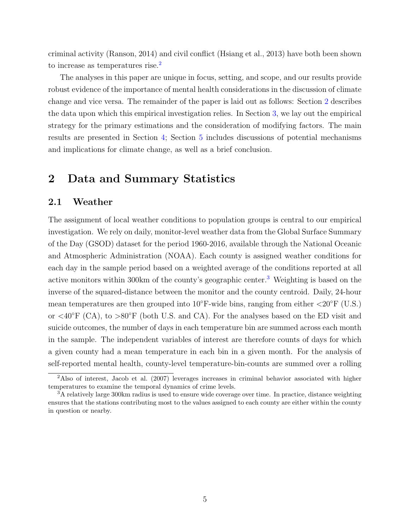criminal activity [\(Ranson,](#page-27-4) [2014\)](#page-27-4) and civil conflict [\(Hsiang et al.,](#page-26-6) [2013\)](#page-26-6) have both been shown to increase as temperatures rise.<sup>[2](#page-4-0)</sup>

The analyses in this paper are unique in focus, setting, and scope, and our results provide robust evidence of the importance of mental health considerations in the discussion of climate change and vice versa. The remainder of the paper is laid out as follows: Section [2](#page-4-1) describes the data upon which this empirical investigation relies. In Section [3,](#page-10-0) we lay out the empirical strategy for the primary estimations and the consideration of modifying factors. The main results are presented in Section [4;](#page-14-0) Section [5](#page-21-0) includes discussions of potential mechanisms and implications for climate change, as well as a brief conclusion.

## <span id="page-4-1"></span>2 Data and Summary Statistics

### 2.1 Weather

The assignment of local weather conditions to population groups is central to our empirical investigation. We rely on daily, monitor-level weather data from the Global Surface Summary of the Day (GSOD) dataset for the period 1960-2016, available through the National Oceanic and Atmospheric Administration (NOAA). Each county is assigned weather conditions for each day in the sample period based on a weighted average of the conditions reported at all active monitors within 300km of the county's geographic center.[3](#page-4-2) Weighting is based on the inverse of the squared-distance between the monitor and the county centroid. Daily, 24-hour mean temperatures are then grouped into  $10\degree$ F-wide bins, ranging from either  $\langle 20\degree$ F (U.S.) or  $\langle 40^\circ \text{F}$  (CA), to  $>80^\circ \text{F}$  (both U.S. and CA). For the analyses based on the ED visit and suicide outcomes, the number of days in each temperature bin are summed across each month in the sample. The independent variables of interest are therefore counts of days for which a given county had a mean temperature in each bin in a given month. For the analysis of self-reported mental health, county-level temperature-bin-counts are summed over a rolling

<span id="page-4-0"></span><sup>&</sup>lt;sup>2</sup>Also of interest, [Jacob et al.](#page-26-7) [\(2007\)](#page-26-7) leverages increases in criminal behavior associated with higher temperatures to examine the temporal dynamics of crime levels.

<span id="page-4-2"></span><sup>&</sup>lt;sup>3</sup>A relatively large 300km radius is used to ensure wide coverage over time. In practice, distance weighting ensures that the stations contributing most to the values assigned to each county are either within the county in question or nearby.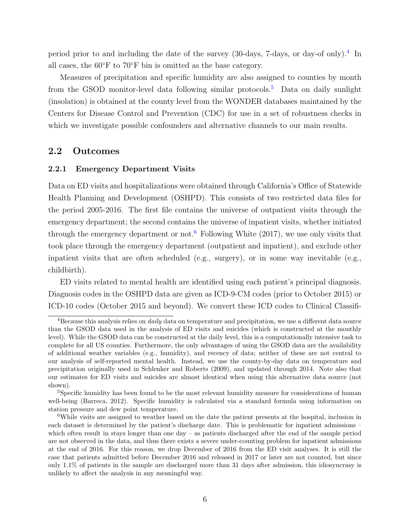period prior to and including the date of the survey (30-days, 7-days, or day-of only).<sup>[4](#page-5-0)</sup> In all cases, the 60◦F to 70◦F bin is omitted as the base category.

Measures of precipitation and specific humidity are also assigned to counties by month from the GSOD monitor-level data following similar protocols.<sup>[5](#page-5-1)</sup> Data on daily sunlight (insolation) is obtained at the county level from the WONDER databases maintained by the Centers for Disease Control and Prevention (CDC) for use in a set of robustness checks in which we investigate possible confounders and alternative channels to our main results.

## 2.2 Outcomes

#### 2.2.1 Emergency Department Visits

Data on ED visits and hospitalizations were obtained through California's Office of Statewide Health Planning and Development (OSHPD). This consists of two restricted data files for the period 2005-2016. The first file contains the universe of outpatient visits through the emergency department; the second contains the universe of inpatient visits, whether initiated through the emergency department or not.<sup>[6](#page-5-2)</sup> Following [White](#page-27-1)  $(2017)$ , we use only visits that took place through the emergency department (outpatient and inpatient), and exclude other inpatient visits that are often scheduled (e.g., surgery), or in some way inevitable (e.g., childbirth).

ED visits related to mental health are identified using each patient's principal diagnosis. Diagnosis codes in the OSHPD data are given as ICD-9-CM codes (prior to October 2015) or ICD-10 codes (October 2015 and beyond). We convert these ICD codes to Clinical Classifi-

<span id="page-5-0"></span><sup>&</sup>lt;sup>4</sup>Because this analysis relies on *daily* data on temperature and precipitation, we use a different data source than the GSOD data used in the analysis of ED visits and suicides (which is constructed at the monthly level). While the GSOD data can be constructed at the daily level, this is a computationally intensive task to complete for all US counties. Furthermore, the only advantages of using the GSOD data are the availability of additional weather variables (e.g., humidity), and recency of data; neither of these are not central to our analysis of self-reported mental health. Instead, we use the county-by-day data on temperature and precipitation originally used in [Schlenker and Roberts](#page-27-5) [\(2009\)](#page-27-5), and updated through 2014. Note also that our estimates for ED visits and suicides are almost identical when using this alternative data source (not shown).

<span id="page-5-1"></span><sup>&</sup>lt;sup>5</sup>Specific humidity has been found to be the most relevant humidity measure for considerations of human well-being [\(Barreca,](#page-25-6) [2012\)](#page-25-6). Specific humidity is calculated via a standard formula using information on station pressure and dew point temperature.

<span id="page-5-2"></span><sup>&</sup>lt;sup>6</sup>While visits are assigned to weather based on the date the patient presents at the hospital, inclusion in each dataset is determined by the patient's discharge date. This is problematic for inpatient admissions – which often result in stays longer than one day – as patients discharged after the end of the sample period are not observed in the data, and thus there exists a severe under-counting problem for inpatient admissions at the end of 2016. For this reason, we drop December of 2016 from the ED visit analyses. It is still the case that patients admitted before December 2016 and released in 2017 or later are not counted, but since only 1.1% of patients in the sample are discharged more than 31 days after admission, this idiosyncrasy is unlikely to affect the analysis in any meaningful way.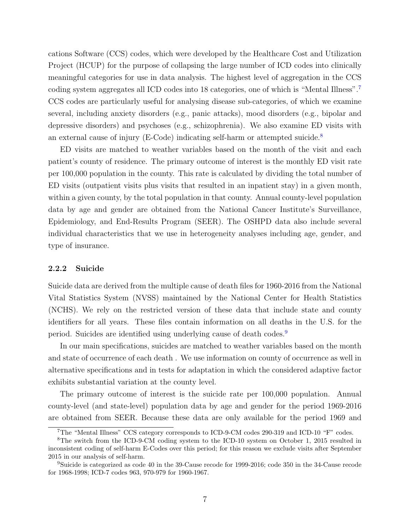cations Software (CCS) codes, which were developed by the Healthcare Cost and Utilization Project (HCUP) for the purpose of collapsing the large number of ICD codes into clinically meaningful categories for use in data analysis. The highest level of aggregation in the CCS coding system aggregates all ICD codes into 18 categories, one of which is "Mental Illness".[7](#page-6-0) CCS codes are particularly useful for analysing disease sub-categories, of which we examine several, including anxiety disorders (e.g., panic attacks), mood disorders (e.g., bipolar and depressive disorders) and psychoses (e.g., schizophrenia). We also examine ED visits with an external cause of injury ( $E$ -Code) indicating self-harm or attempted suicide.<sup>[8](#page-6-1)</sup>

ED visits are matched to weather variables based on the month of the visit and each patient's county of residence. The primary outcome of interest is the monthly ED visit rate per 100,000 population in the county. This rate is calculated by dividing the total number of ED visits (outpatient visits plus visits that resulted in an inpatient stay) in a given month, within a given county, by the total population in that county. Annual county-level population data by age and gender are obtained from the National Cancer Institute's Surveillance, Epidemiology, and End-Results Program (SEER). The OSHPD data also include several individual characteristics that we use in heterogeneity analyses including age, gender, and type of insurance.

#### 2.2.2 Suicide

Suicide data are derived from the multiple cause of death files for 1960-2016 from the National Vital Statistics System (NVSS) maintained by the National Center for Health Statistics (NCHS). We rely on the restricted version of these data that include state and county identifiers for all years. These files contain information on all deaths in the U.S. for the period. Suicides are identified using underlying cause of death codes.[9](#page-6-2)

In our main specifications, suicides are matched to weather variables based on the month and state of occurrence of each death . We use information on county of occurrence as well in alternative specifications and in tests for adaptation in which the considered adaptive factor exhibits substantial variation at the county level.

The primary outcome of interest is the suicide rate per 100,000 population. Annual county-level (and state-level) population data by age and gender for the period 1969-2016 are obtained from SEER. Because these data are only available for the period 1969 and

<span id="page-6-1"></span><span id="page-6-0"></span><sup>7</sup>The "Mental Illness" CCS category corresponds to ICD-9-CM codes 290-319 and ICD-10 "F" codes.

<sup>&</sup>lt;sup>8</sup>The switch from the ICD-9-CM coding system to the ICD-10 system on October 1, 2015 resulted in inconsistent coding of self-harm E-Codes over this period; for this reason we exclude visits after September 2015 in our analysis of self-harm.

<span id="page-6-2"></span><sup>&</sup>lt;sup>9</sup>Suicide is categorized as code 40 in the 39-Cause recode for 1999-2016; code 350 in the 34-Cause recode for 1968-1998; ICD-7 codes 963, 970-979 for 1960-1967.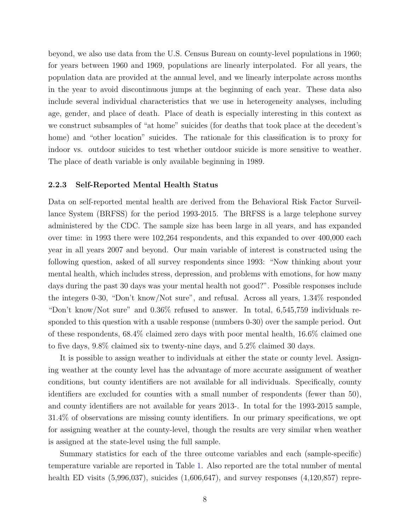beyond, we also use data from the U.S. Census Bureau on county-level populations in 1960; for years between 1960 and 1969, populations are linearly interpolated. For all years, the population data are provided at the annual level, and we linearly interpolate across months in the year to avoid discontinuous jumps at the beginning of each year. These data also include several individual characteristics that we use in heterogeneity analyses, including age, gender, and place of death. Place of death is especially interesting in this context as we construct subsamples of "at home" suicides (for deaths that took place at the decedent's home) and "other location" suicides. The rationale for this classification is to proxy for indoor vs. outdoor suicides to test whether outdoor suicide is more sensitive to weather. The place of death variable is only available beginning in 1989.

#### 2.2.3 Self-Reported Mental Health Status

Data on self-reported mental health are derived from the Behavioral Risk Factor Surveillance System (BRFSS) for the period 1993-2015. The BRFSS is a large telephone survey administered by the CDC. The sample size has been large in all years, and has expanded over time: in 1993 there were 102,264 respondents, and this expanded to over 400,000 each year in all years 2007 and beyond. Our main variable of interest is constructed using the following question, asked of all survey respondents since 1993: "Now thinking about your mental health, which includes stress, depression, and problems with emotions, for how many days during the past 30 days was your mental health not good?". Possible responses include the integers 0-30, "Don't know/Not sure", and refusal. Across all years, 1.34% responded "Don't know/Not sure" and 0.36% refused to answer. In total, 6,545,759 individuals responded to this question with a usable response (numbers 0-30) over the sample period. Out of these respondents, 68.4% claimed zero days with poor mental health, 16.6% claimed one to five days, 9.8% claimed six to twenty-nine days, and 5.2% claimed 30 days.

It is possible to assign weather to individuals at either the state or county level. Assigning weather at the county level has the advantage of more accurate assignment of weather conditions, but county identifiers are not available for all individuals. Specifically, county identifiers are excluded for counties with a small number of respondents (fewer than 50), and county identifiers are not available for years 2013-. In total for the 1993-2015 sample, 31.4% of observations are missing county identifiers. In our primary specifications, we opt for assigning weather at the county-level, though the results are very similar when weather is assigned at the state-level using the full sample.

Summary statistics for each of the three outcome variables and each (sample-specific) temperature variable are reported in Table [1.](#page-33-0) Also reported are the total number of mental health ED visits  $(5,996,037)$ , suicides  $(1,606,647)$ , and survey responses  $(4,120,857)$  repre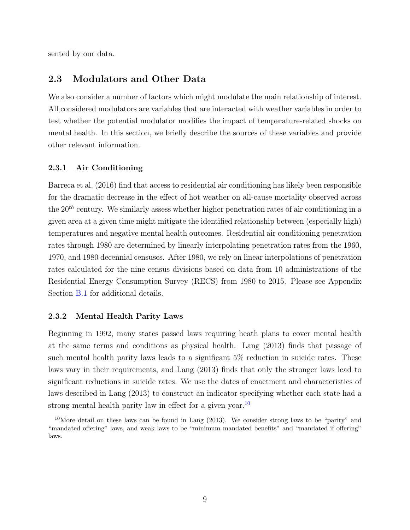<span id="page-8-1"></span>sented by our data.

## 2.3 Modulators and Other Data

We also consider a number of factors which might modulate the main relationship of interest. All considered modulators are variables that are interacted with weather variables in order to test whether the potential modulator modifies the impact of temperature-related shocks on mental health. In this section, we briefly describe the sources of these variables and provide other relevant information.

### 2.3.1 Air Conditioning

[Barreca et al.](#page-25-0) [\(2016\)](#page-25-0) find that access to residential air conditioning has likely been responsible for the dramatic decrease in the effect of hot weather on all-cause mortality observed across the  $20<sup>th</sup>$  century. We similarly assess whether higher penetration rates of air conditioning in a given area at a given time might mitigate the identified relationship between (especially high) temperatures and negative mental health outcomes. Residential air conditioning penetration rates through 1980 are determined by linearly interpolating penetration rates from the 1960, 1970, and 1980 decennial censuses. After 1980, we rely on linear interpolations of penetration rates calculated for the nine census divisions based on data from 10 administrations of the Residential Energy Consumption Survey (RECS) from 1980 to 2015. Please see Appendix Section [B.1](#page-51-0) for additional details.

#### 2.3.2 Mental Health Parity Laws

Beginning in 1992, many states passed laws requiring heath plans to cover mental health at the same terms and conditions as physical health. [Lang](#page-27-6) [\(2013\)](#page-27-6) finds that passage of such mental health parity laws leads to a significant 5% reduction in suicide rates. These laws vary in their requirements, and [Lang](#page-27-6) [\(2013\)](#page-27-6) finds that only the stronger laws lead to significant reductions in suicide rates. We use the dates of enactment and characteristics of laws described in [Lang](#page-27-6) [\(2013\)](#page-27-6) to construct an indicator specifying whether each state had a strong mental health parity law in effect for a given year.<sup>[10](#page-8-0)</sup>

<span id="page-8-0"></span><sup>&</sup>lt;sup>10</sup>More detail on these laws can be found in [Lang](#page-27-6) [\(2013\)](#page-27-6). We consider strong laws to be "parity" and "mandated offering" laws, and weak laws to be "minimum mandated benefits" and "mandated if offering" laws.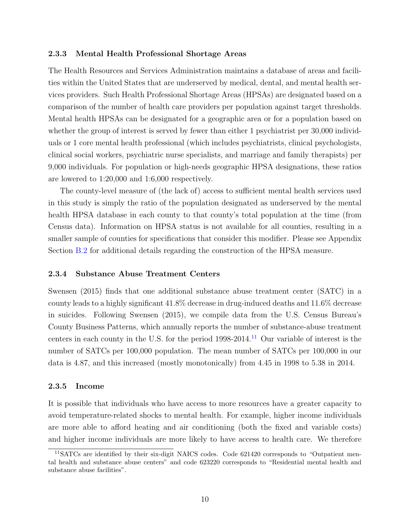#### 2.3.3 Mental Health Professional Shortage Areas

The Health Resources and Services Administration maintains a database of areas and facilities within the United States that are underserved by medical, dental, and mental health services providers. Such Health Professional Shortage Areas (HPSAs) are designated based on a comparison of the number of health care providers per population against target thresholds. Mental health HPSAs can be designated for a geographic area or for a population based on whether the group of interest is served by fewer than either 1 psychiatrist per 30,000 individuals or 1 core mental health professional (which includes psychiatrists, clinical psychologists, clinical social workers, psychiatric nurse specialists, and marriage and family therapists) per 9,000 individuals. For population or high-needs geographic HPSA designations, these ratios are lowered to 1:20,000 and 1:6,000 respectively.

The county-level measure of (the lack of) access to sufficient mental health services used in this study is simply the ratio of the population designated as underserved by the mental health HPSA database in each county to that county's total population at the time (from Census data). Information on HPSA status is not available for all counties, resulting in a smaller sample of counties for specifications that consider this modifier. Please see Appendix Section [B.2](#page-51-1) for additional details regarding the construction of the HPSA measure.

#### 2.3.4 Substance Abuse Treatment Centers

[Swensen](#page-27-7) [\(2015\)](#page-27-7) finds that one additional substance abuse treatment center (SATC) in a county leads to a highly significant 41.8% decrease in drug-induced deaths and 11.6% decrease in suicides. Following [Swensen](#page-27-7) [\(2015\)](#page-27-7), we compile data from the U.S. Census Bureau's County Business Patterns, which annually reports the number of substance-abuse treatment centers in each county in the U.S. for the period  $1998-2014$ .<sup>[11](#page-9-0)</sup> Our variable of interest is the number of SATCs per 100,000 population. The mean number of SATCs per 100,000 in our data is 4.87, and this increased (mostly monotonically) from 4.45 in 1998 to 5.38 in 2014.

#### 2.3.5 Income

It is possible that individuals who have access to more resources have a greater capacity to avoid temperature-related shocks to mental health. For example, higher income individuals are more able to afford heating and air conditioning (both the fixed and variable costs) and higher income individuals are more likely to have access to health care. We therefore

<span id="page-9-0"></span><sup>11</sup>SATCs are identified by their six-digit NAICS codes. Code 621420 corresponds to "Outpatient mental health and substance abuse centers" and code 623220 corresponds to "Residential mental health and substance abuse facilities".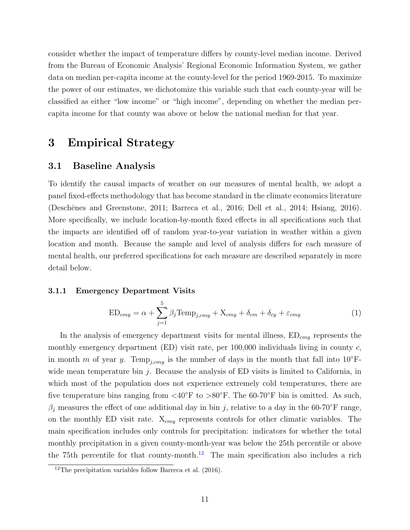consider whether the impact of temperature differs by county-level median income. Derived from the Bureau of Economic Analysis' Regional Economic Information System, we gather data on median per-capita income at the county-level for the period 1969-2015. To maximize the power of our estimates, we dichotomize this variable such that each county-year will be classified as either "low income" or "high income", depending on whether the median percapita income for that county was above or below the national median for that year.

## <span id="page-10-0"></span>3 Empirical Strategy

### 3.1 Baseline Analysis

To identify the causal impacts of weather on our measures of mental health, we adopt a panel fixed-effects methodology that has become standard in the climate economics literature (Deschênes and Greenstone, [2011;](#page-26-3) [Barreca et al.,](#page-25-0) [2016;](#page-25-0) [Dell et al.,](#page-26-8) [2014;](#page-26-8) [Hsiang,](#page-26-9) [2016\)](#page-26-9). More specifically, we include location-by-month fixed effects in all specifications such that the impacts are identified off of random year-to-year variation in weather within a given location and month. Because the sample and level of analysis differs for each measure of mental health, our preferred specifications for each measure are described separately in more detail below.

#### 3.1.1 Emergency Department Visits

<span id="page-10-2"></span>
$$
ED_{cmy} = \alpha + \sum_{j=1}^{5} \beta_j Temp_{j,cmy} + X_{cmy} + \delta_{cm} + \delta_{cy} + \varepsilon_{cmy}
$$
 (1)

In the analysis of emergency department visits for mental illness,  $ED_{cmy}$  represents the monthly emergency department (ED) visit rate, per  $100,000$  individuals living in county c, in month m of year y. Temp<sub>j,cmy</sub> is the number of days in the month that fall into 10<sup>°</sup>Fwide mean temperature bin  $j$ . Because the analysis of ED visits is limited to California, in which most of the population does not experience extremely cold temperatures, there are five temperature bins ranging from  $\langle 40^\circ \text{F} \text{ to } \rangle 80^\circ \text{F}$ . The 60-70°F bin is omitted. As such,  $\beta_j$  measures the effect of one additional day in bin j, relative to a day in the 60-70°F range, on the monthly ED visit rate.  $X_{cmy}$  represents controls for other climatic variables. The main specification includes only controls for precipitation: indicators for whether the total monthly precipitation in a given county-month-year was below the 25th percentile or above the 75th percentile for that county-month.<sup>[12](#page-10-1)</sup> The main specification also includes a rich

<span id="page-10-1"></span><sup>&</sup>lt;sup>12</sup>The precipitation variables follow [Barreca et al.](#page-25-0)  $(2016)$ .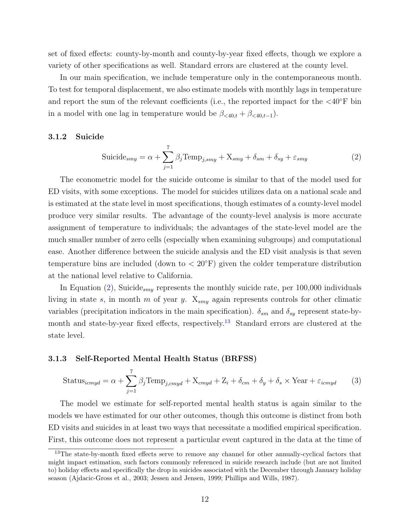set of fixed effects: county-by-month and county-by-year fixed effects, though we explore a variety of other specifications as well. Standard errors are clustered at the county level.

In our main specification, we include temperature only in the contemporaneous month. To test for temporal displacement, we also estimate models with monthly lags in temperature and report the sum of the relevant coefficients (i.e., the reported impact for the  $\langle 40^\circ \text{F} \rangle$  bin in a model with one lag in temperature would be  $\beta_{\leq 40,t} + \beta_{\leq 40,t-1}$ .

#### 3.1.2 Suicide

<span id="page-11-3"></span><span id="page-11-0"></span>
$$
\text{Suicide}_{smy} = \alpha + \sum_{j=1}^{7} \beta_j \text{Temp}_{j,smy} + \text{X}_{smy} + \delta_{sm} + \delta_{sy} + \varepsilon_{smy} \tag{2}
$$

The econometric model for the suicide outcome is similar to that of the model used for ED visits, with some exceptions. The model for suicides utilizes data on a national scale and is estimated at the state level in most specifications, though estimates of a county-level model produce very similar results. The advantage of the county-level analysis is more accurate assignment of temperature to individuals; the advantages of the state-level model are the much smaller number of zero cells (especially when examining subgroups) and computational ease. Another difference between the suicide analysis and the ED visit analysis is that seven temperature bins are included (down to  $< 20^{\circ}$ F) given the colder temperature distribution at the national level relative to California.

In Equation [\(2\)](#page-11-0), Suicide<sub>smy</sub> represents the monthly suicide rate, per 100,000 individuals living in state s, in month m of year y.  $X_{smy}$  again represents controls for other climatic variables (precipitation indicators in the main specification).  $\delta_{sm}$  and  $\delta_{sy}$  represent state-by-month and state-by-year fixed effects, respectively.<sup>[13](#page-11-1)</sup> Standard errors are clustered at the state level.

#### 3.1.3 Self-Reported Mental Health Status (BRFSS)

<span id="page-11-2"></span>
$$
Status_{icmyd} = \alpha + \sum_{j=1}^{7} \beta_j \text{Temp}_{j,cmyd} + X_{cmyd} + Z_i + \delta_{cm} + \delta_y + \delta_s \times \text{Year} + \varepsilon_{icmyd}
$$
 (3)

The model we estimate for self-reported mental health status is again similar to the models we have estimated for our other outcomes, though this outcome is distinct from both ED visits and suicides in at least two ways that necessitate a modified empirical specification. First, this outcome does not represent a particular event captured in the data at the time of

<span id="page-11-1"></span><sup>&</sup>lt;sup>13</sup>The state-by-month fixed effects serve to remove any channel for other annually-cyclical factors that might impact estimation, such factors commonly referenced in suicide research include (but are not limited to) holiday effects and specifically the drop in suicides associated with the December through January holiday season [\(Ajdacic-Gross et al.,](#page-25-7) [2003;](#page-25-7) [Jessen and Jensen,](#page-26-10) [1999;](#page-26-10) [Phillips and Wills,](#page-27-8) [1987\)](#page-27-8).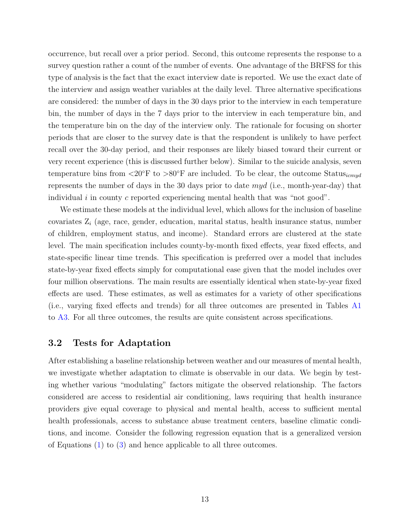occurrence, but recall over a prior period. Second, this outcome represents the response to a survey question rather a count of the number of events. One advantage of the BRFSS for this type of analysis is the fact that the exact interview date is reported. We use the exact date of the interview and assign weather variables at the daily level. Three alternative specifications are considered: the number of days in the 30 days prior to the interview in each temperature bin, the number of days in the 7 days prior to the interview in each temperature bin, and the temperature bin on the day of the interview only. The rationale for focusing on shorter periods that are closer to the survey date is that the respondent is unlikely to have perfect recall over the 30-day period, and their responses are likely biased toward their current or very recent experience (this is discussed further below). Similar to the suicide analysis, seven temperature bins from  $\langle 20^\circ \text{F} \text{ to } \rangle 80^\circ \text{F}$  are included. To be clear, the outcome Status<sub>icmud</sub> represents the number of days in the 30 days prior to date  $myd$  (i.e., month-year-day) that individual  $i$  in county c reported experiencing mental health that was "not good".

We estimate these models at the individual level, which allows for the inclusion of baseline covariates  $Z_i$  (age, race, gender, education, marital status, health insurance status, number of children, employment status, and income). Standard errors are clustered at the state level. The main specification includes county-by-month fixed effects, year fixed effects, and state-specific linear time trends. This specification is preferred over a model that includes state-by-year fixed effects simply for computational ease given that the model includes over four million observations. The main results are essentially identical when state-by-year fixed effects are used. These estimates, as well as estimates for a variety of other specifications (i.e., varying fixed effects and trends) for all three outcomes are presented in Tables [A1](#page-40-0) to [A3.](#page-42-0) For all three outcomes, the results are quite consistent across specifications.

## 3.2 Tests for Adaptation

After establishing a baseline relationship between weather and our measures of mental health, we investigate whether adaptation to climate is observable in our data. We begin by testing whether various "modulating" factors mitigate the observed relationship. The factors considered are access to residential air conditioning, laws requiring that health insurance providers give equal coverage to physical and mental health, access to sufficient mental health professionals, access to substance abuse treatment centers, baseline climatic conditions, and income. Consider the following regression equation that is a generalized version of Equations [\(1\)](#page-10-2) to [\(3\)](#page-11-2) and hence applicable to all three outcomes.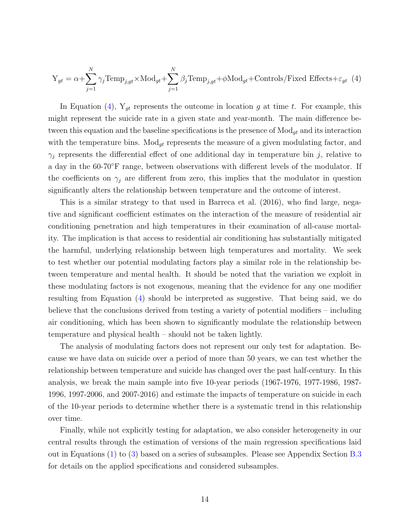<span id="page-13-0"></span>
$$
Y_{gt} = \alpha + \sum_{j=1}^{N} \gamma_j \text{Temp}_{j,gt} \times \text{Mod}_{gt} + \sum_{j=1}^{N} \beta_j \text{Temp}_{j,gt} + \phi \text{Mod}_{gt} + \text{Controls/Fixed Effects} + \varepsilon_{gt} \tag{4}
$$

In Equation [\(4\)](#page-13-0),  $Y_{gt}$  represents the outcome in location g at time t. For example, this might represent the suicide rate in a given state and year-month. The main difference between this equation and the baseline specifications is the presence of  $\text{Mod}_{gt}$  and its interaction with the temperature bins.  $\text{Mod}_{gt}$  represents the measure of a given modulating factor, and  $\gamma_i$  represents the differential effect of one additional day in temperature bin j, relative to a day in the 60-70◦F range, between observations with different levels of the modulator. If the coefficients on  $\gamma_j$  are different from zero, this implies that the modulator in question significantly alters the relationship between temperature and the outcome of interest.

This is a similar strategy to that used in [Barreca et al.](#page-25-0) [\(2016\)](#page-25-0), who find large, negative and significant coefficient estimates on the interaction of the measure of residential air conditioning penetration and high temperatures in their examination of all-cause mortality. The implication is that access to residential air conditioning has substantially mitigated the harmful, underlying relationship between high temperatures and mortality. We seek to test whether our potential modulating factors play a similar role in the relationship between temperature and mental health. It should be noted that the variation we exploit in these modulating factors is not exogenous, meaning that the evidence for any one modifier resulting from Equation [\(4\)](#page-13-0) should be interpreted as suggestive. That being said, we do believe that the conclusions derived from testing a variety of potential modifiers – including air conditioning, which has been shown to significantly modulate the relationship between temperature and physical health – should not be taken lightly.

The analysis of modulating factors does not represent our only test for adaptation. Because we have data on suicide over a period of more than 50 years, we can test whether the relationship between temperature and suicide has changed over the past half-century. In this analysis, we break the main sample into five 10-year periods (1967-1976, 1977-1986, 1987- 1996, 1997-2006, and 2007-2016) and estimate the impacts of temperature on suicide in each of the 10-year periods to determine whether there is a systematic trend in this relationship over time.

Finally, while not explicitly testing for adaptation, we also consider heterogeneity in our central results through the estimation of versions of the main regression specifications laid out in Equations [\(1\)](#page-10-2) to [\(3\)](#page-11-2) based on a series of subsamples. Please see Appendix Section [B.3](#page-52-0) for details on the applied specifications and considered subsamples.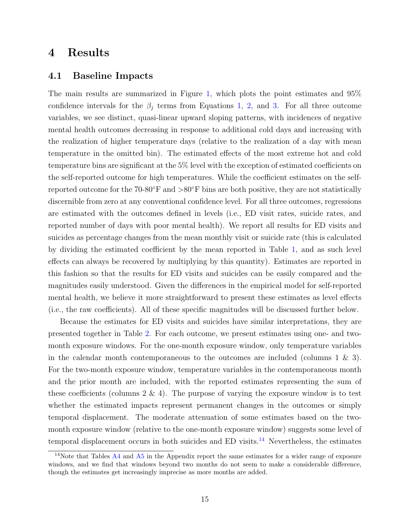## <span id="page-14-0"></span>4 Results

### 4.1 Baseline Impacts

The main results are summarized in Figure [1,](#page-29-0) which plots the point estimates and 95% confidence intervals for the  $\beta_j$  terms from Equations [1,](#page-10-2) [2,](#page-11-0) and [3.](#page-11-2) For all three outcome variables, we see distinct, quasi-linear upward sloping patterns, with incidences of negative mental health outcomes decreasing in response to additional cold days and increasing with the realization of higher temperature days (relative to the realization of a day with mean temperature in the omitted bin). The estimated effects of the most extreme hot and cold temperature bins are significant at the 5% level with the exception of estimated coefficients on the self-reported outcome for high temperatures. While the coefficient estimates on the selfreported outcome for the 70-80 $\degree$ F and  $>80\degree$ F bins are both positive, they are not statistically discernible from zero at any conventional confidence level. For all three outcomes, regressions are estimated with the outcomes defined in levels (i.e., ED visit rates, suicide rates, and reported number of days with poor mental health). We report all results for ED visits and suicides as percentage changes from the mean monthly visit or suicide rate (this is calculated by dividing the estimated coefficient by the mean reported in Table [1,](#page-33-0) and as such level effects can always be recovered by multiplying by this quantity). Estimates are reported in this fashion so that the results for ED visits and suicides can be easily compared and the magnitudes easily understood. Given the differences in the empirical model for self-reported mental health, we believe it more straightforward to present these estimates as level effects (i.e., the raw coefficients). All of these specific magnitudes will be discussed further below.

Because the estimates for ED visits and suicides have similar interpretations, they are presented together in Table [2.](#page-34-0) For each outcome, we present estimates using one- and twomonth exposure windows. For the one-month exposure window, only temperature variables in the calendar month contemporaneous to the outcomes are included (columns  $1 \& 3$ ). For the two-month exposure window, temperature variables in the contemporaneous month and the prior month are included, with the reported estimates representing the sum of these coefficients (columns  $2 \& 4$ ). The purpose of varying the exposure window is to test whether the estimated impacts represent permanent changes in the outcomes or simply temporal displacement. The moderate attenuation of some estimates based on the twomonth exposure window (relative to the one-month exposure window) suggests some level of temporal displacement occurs in both suicides and  $ED$  visits.<sup>[14](#page-14-1)</sup> Nevertheless, the estimates

<span id="page-14-1"></span><sup>&</sup>lt;sup>14</sup>Note that Tables  $\overline{A4}$  $\overline{A4}$  $\overline{A4}$  and  $\overline{A5}$  $\overline{A5}$  $\overline{A5}$  in the Appendix report the same estimates for a wider range of exposure windows, and we find that windows beyond two months do not seem to make a considerable difference, though the estimates get increasingly imprecise as more months are added.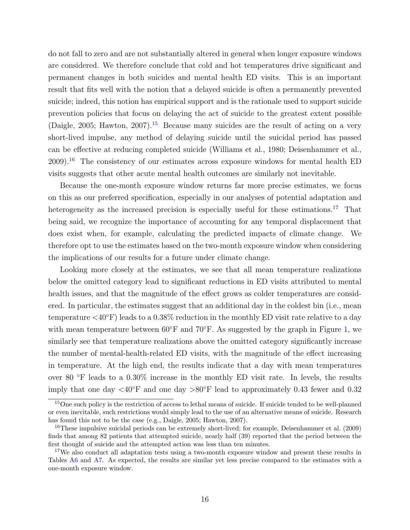do not fall to zero and are not substantially altered in general when longer exposure windows are considered. We therefore conclude that cold and hot temperatures drive significant and permanent changes in both suicides and mental health ED visits. This is an important result that fits well with the notion that a delayed suicide is often a permanently prevented suicide; indeed, this notion has empirical support and is the rationale used to support suicide prevention policies that focus on delaying the act of suicide to the greatest extent possible [\(Daigle,](#page-25-8) [2005;](#page-25-8) [Hawton,](#page-26-11) [2007\)](#page-26-11).<sup>[15](#page-15-0)</sup> Because many suicides are the result of acting on a very short-lived impulse, any method of delaying suicide until the suicidal period has passed can be effective at reducing completed suicide [\(Williams et al.,](#page-27-9) [1980;](#page-27-9) [Deisenhammer et al.,](#page-25-9)  $2009$ <sup>[16](#page-15-1)</sup>. The consistency of our estimates across exposure windows for mental health ED visits suggests that other acute mental health outcomes are similarly not inevitable.

Because the one-month exposure window returns far more precise estimates, we focus on this as our preferred specification, especially in our analyses of potential adaptation and heterogeneity as the increased precision is especially useful for these estimations.<sup>[17](#page-15-2)</sup> That being said, we recognize the importance of accounting for any temporal displacement that does exist when, for example, calculating the predicted impacts of climate change. We therefore opt to use the estimates based on the two-month exposure window when considering the implications of our results for a future under climate change.

Looking more closely at the estimates, we see that all mean temperature realizations below the omitted category lead to significant reductions in ED visits attributed to mental health issues, and that the magnitude of the effect grows as colder temperatures are considered. In particular, the estimates suggest that an additional day in the coldest bin (i.e., mean temperature  $\langle 40^\circ \text{F} \rangle$  leads to a 0.38% reduction in the monthly ED visit rate relative to a day with mean temperature between  $60°$ F and  $70°$ F. As suggested by the graph in Figure [1,](#page-29-0) we similarly see that temperature realizations above the omitted category significantly increase the number of mental-health-related ED visits, with the magnitude of the effect increasing in temperature. At the high end, the results indicate that a day with mean temperatures over 80 ◦F leads to a 0.30% increase in the monthly ED visit rate. In levels, the results imply that one day  $\langle 40^\circ \text{F} \rangle$  and one day  $>80^\circ \text{F}$  lead to approximately 0.43 fewer and 0.32

<span id="page-15-0"></span><sup>&</sup>lt;sup>15</sup>One such policy is the restriction of access to lethal means of suicide. If suicide tended to be well-planned or even inevitable, such restrictions would simply lead to the use of an alternative means of suicide. Research has found this not to be the case (e.g., [Daigle,](#page-25-8) [2005;](#page-25-8) [Hawton,](#page-26-11) [2007\)](#page-26-11).

<span id="page-15-1"></span><sup>&</sup>lt;sup>16</sup>These impulsive suicidal periods can be extremely short-lived; for example, [Deisenhammer et al.](#page-25-9) [\(2009\)](#page-25-9) finds that among 82 patients that attempted suicide, nearly half (39) reported that the period between the first thought of suicide and the attempted action was less than ten minutes.

<span id="page-15-2"></span><sup>&</sup>lt;sup>17</sup>We also conduct all adaptation tests using a two-month exposure window and present these results in Tables [A6](#page-45-0) and [A7.](#page-46-0) As expected, the results are similar yet less precise compared to the estimates with a one-month exposure window.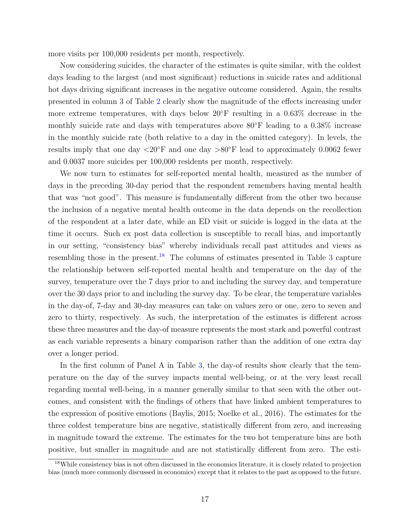more visits per 100,000 residents per month, respectively.

Now considering suicides, the character of the estimates is quite similar, with the coldest days leading to the largest (and most significant) reductions in suicide rates and additional hot days driving significant increases in the negative outcome considered. Again, the results presented in column 3 of Table [2](#page-34-0) clearly show the magnitude of the effects increasing under more extreme temperatures, with days below 20◦F resulting in a 0.63% decrease in the monthly suicide rate and days with temperatures above  $80^{\circ}$ F leading to a 0.38% increase in the monthly suicide rate (both relative to a day in the omitted category). In levels, the results imply that one day  $\langle 20^\circ \text{F} \rangle$  and one day  $> 80^\circ \text{F}$  lead to approximately 0.0062 fewer and 0.0037 more suicides per 100,000 residents per month, respectively.

We now turn to estimates for self-reported mental health, measured as the number of days in the preceding 30-day period that the respondent remembers having mental health that was "not good". This measure is fundamentally different from the other two because the inclusion of a negative mental health outcome in the data depends on the recollection of the respondent at a later date, while an ED visit or suicide is logged in the data at the time it occurs. Such ex post data collection is susceptible to recall bias, and importantly in our setting, "consistency bias" whereby individuals recall past attitudes and views as resembling those in the present.<sup>[18](#page-16-0)</sup> The columns of estimates presented in Table [3](#page-35-0) capture the relationship between self-reported mental health and temperature on the day of the survey, temperature over the 7 days prior to and including the survey day, and temperature over the 30 days prior to and including the survey day. To be clear, the temperature variables in the day-of, 7-day and 30-day measures can take on values zero or one, zero to seven and zero to thirty, respectively. As such, the interpretation of the estimates is different across these three measures and the day-of measure represents the most stark and powerful contrast as each variable represents a binary comparison rather than the addition of one extra day over a longer period.

In the first column of Panel A in Table [3,](#page-35-0) the day-of results show clearly that the temperature on the day of the survey impacts mental well-being, or at the very least recall regarding mental well-being, in a manner generally similar to that seen with the other outcomes, and consistent with the findings of others that have linked ambient temperatures to the expression of positive emotions [\(Baylis,](#page-25-5) [2015;](#page-25-5) [Noelke et al.,](#page-27-10) [2016\)](#page-27-10). The estimates for the three coldest temperature bins are negative, statistically different from zero, and increasing in magnitude toward the extreme. The estimates for the two hot temperature bins are both positive, but smaller in magnitude and are not statistically different from zero. The esti-

<span id="page-16-0"></span><sup>&</sup>lt;sup>18</sup>While consistency bias is not often discussed in the economics literature, it is closely related to projection bias (much more commonly discussed in economics) except that it relates to the past as opposed to the future.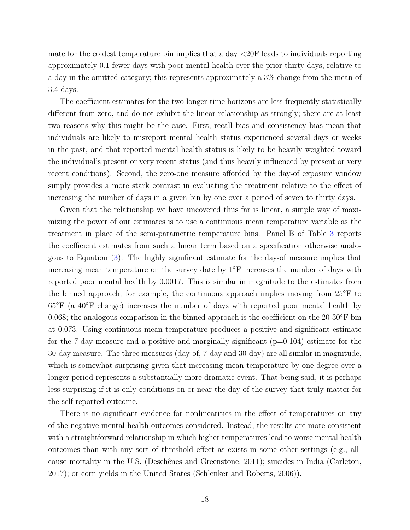mate for the coldest temperature bin implies that a day <20F leads to individuals reporting approximately 0.1 fewer days with poor mental health over the prior thirty days, relative to a day in the omitted category; this represents approximately a 3% change from the mean of 3.4 days.

The coefficient estimates for the two longer time horizons are less frequently statistically different from zero, and do not exhibit the linear relationship as strongly; there are at least two reasons why this might be the case. First, recall bias and consistency bias mean that individuals are likely to misreport mental health status experienced several days or weeks in the past, and that reported mental health status is likely to be heavily weighted toward the individual's present or very recent status (and thus heavily influenced by present or very recent conditions). Second, the zero-one measure afforded by the day-of exposure window simply provides a more stark contrast in evaluating the treatment relative to the effect of increasing the number of days in a given bin by one over a period of seven to thirty days.

Given that the relationship we have uncovered thus far is linear, a simple way of maximizing the power of our estimates is to use a continuous mean temperature variable as the treatment in place of the semi-parametric temperature bins. Panel B of Table [3](#page-35-0) reports the coefficient estimates from such a linear term based on a specification otherwise analogous to Equation [\(3\)](#page-11-2). The highly significant estimate for the day-of measure implies that increasing mean temperature on the survey date by  $1 <sup>$\degree$ </sup>F increases the number of days with</sup>$ reported poor mental health by 0.0017. This is similar in magnitude to the estimates from the binned approach; for example, the continuous approach implies moving from  $25^{\circ}$ F to  $65^{\circ}$ F (a 40 $^{\circ}$ F change) increases the number of days with reported poor mental health by 0.068; the analogous comparison in the binned approach is the coefficient on the  $20-30°$ F bin at 0.073. Using continuous mean temperature produces a positive and significant estimate for the 7-day measure and a positive and marginally significant  $(p=0.104)$  estimate for the 30-day measure. The three measures (day-of, 7-day and 30-day) are all similar in magnitude, which is somewhat surprising given that increasing mean temperature by one degree over a longer period represents a substantially more dramatic event. That being said, it is perhaps less surprising if it is only conditions on or near the day of the survey that truly matter for the self-reported outcome.

There is no significant evidence for nonlinearities in the effect of temperatures on any of the negative mental health outcomes considered. Instead, the results are more consistent with a straightforward relationship in which higher temperatures lead to worse mental health outcomes than with any sort of threshold effect as exists in some other settings (e.g., all-cause mortality in the U.S. (Deschênes and Greenstone, [2011\)](#page-26-3); suicides in India [\(Carleton,](#page-25-1) [2017\)](#page-25-1); or corn yields in the United States [\(Schlenker and Roberts,](#page-27-11) [2006\)](#page-27-11)).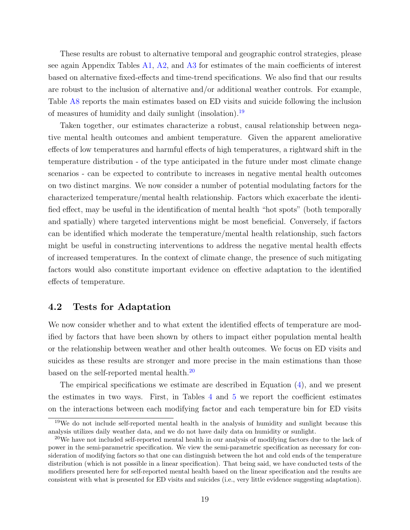These results are robust to alternative temporal and geographic control strategies, please see again Appendix Tables [A1,](#page-40-0) [A2,](#page-41-0) and [A3](#page-42-0) for estimates of the main coefficients of interest based on alternative fixed-effects and time-trend specifications. We also find that our results are robust to the inclusion of alternative and/or additional weather controls. For example, Table [A8](#page-47-0) reports the main estimates based on ED visits and suicide following the inclusion of measures of humidity and daily sunlight (insolation).[19](#page-18-0)

Taken together, our estimates characterize a robust, causal relationship between negative mental health outcomes and ambient temperature. Given the apparent ameliorative effects of low temperatures and harmful effects of high temperatures, a rightward shift in the temperature distribution - of the type anticipated in the future under most climate change scenarios - can be expected to contribute to increases in negative mental health outcomes on two distinct margins. We now consider a number of potential modulating factors for the characterized temperature/mental health relationship. Factors which exacerbate the identified effect, may be useful in the identification of mental health "hot spots" (both temporally and spatially) where targeted interventions might be most beneficial. Conversely, if factors can be identified which moderate the temperature/mental health relationship, such factors might be useful in constructing interventions to address the negative mental health effects of increased temperatures. In the context of climate change, the presence of such mitigating factors would also constitute important evidence on effective adaptation to the identified effects of temperature.

### 4.2 Tests for Adaptation

We now consider whether and to what extent the identified effects of temperature are modified by factors that have been shown by others to impact either population mental health or the relationship between weather and other health outcomes. We focus on ED visits and suicides as these results are stronger and more precise in the main estimations than those based on the self-reported mental health.[20](#page-18-1)

The empirical specifications we estimate are described in Equation [\(4\)](#page-13-0), and we present the estimates in two ways. First, in Tables [4](#page-36-0) and [5](#page-37-0) we report the coefficient estimates on the interactions between each modifying factor and each temperature bin for ED visits

<span id="page-18-0"></span><sup>&</sup>lt;sup>19</sup>We do not include self-reported mental health in the analysis of humidity and sunlight because this analysis utilizes daily weather data, and we do not have daily data on humidity or sunlight.

<span id="page-18-1"></span><sup>20</sup>We have not included self-reported mental health in our analysis of modifying factors due to the lack of power in the semi-parametric specification. We view the semi-parametric specification as necessary for consideration of modifying factors so that one can distinguish between the hot and cold ends of the temperature distribution (which is not possible in a linear specification). That being said, we have conducted tests of the modifiers presented here for self-reported mental health based on the linear specification and the results are consistent with what is presented for ED visits and suicides (i.e., very little evidence suggesting adaptation).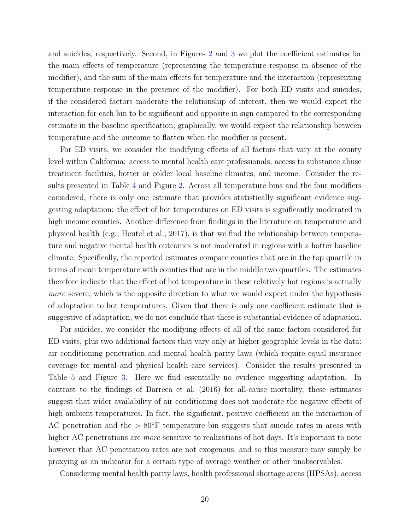and suicides, respectively. Second, in Figures [2](#page-30-0) and [3](#page-31-0) we plot the coefficient estimates for the main effects of temperature (representing the temperature response in absence of the modifier), and the sum of the main effects for temperature and the interaction (representing temperature response in the presence of the modifier). For both ED visits and suicides, if the considered factors moderate the relationship of interest, then we would expect the interaction for each bin to be significant and opposite in sign compared to the corresponding estimate in the baseline specification; graphically, we would expect the relationship between temperature and the outcome to flatten when the modifier is present.

For ED visits, we consider the modifying effects of all factors that vary at the county level within California: access to mental health care professionals, access to substance abuse treatment facilities, hotter or colder local baseline climates, and income. Consider the results presented in Table [4](#page-36-0) and Figure [2.](#page-30-0) Across all temperature bins and the four modifiers considered, there is only one estimate that provides statistically significant evidence suggesting adaptation: the effect of hot temperatures on ED visits is significantly moderated in high income counties. Another difference from findings in the literature on temperature and physical health (e.g., [Heutel et al.,](#page-26-4) [2017\)](#page-26-4), is that we find the relationship between temperature and negative mental health outcomes is not moderated in regions with a hotter baseline climate. Specifically, the reported estimates compare counties that are in the top quartile in terms of mean temperature with counties that are in the middle two quartiles. The estimates therefore indicate that the effect of hot temperature in these relatively hot regions is actually more severe, which is the opposite direction to what we would expect under the hypothesis of adaptation to hot temperatures. Given that there is only one coefficient estimate that is suggestive of adaptation, we do not conclude that there is substantial evidence of adaptation.

For suicides, we consider the modifying effects of all of the same factors considered for ED visits, plus two additional factors that vary only at higher geographic levels in the data: air conditioning penetration and mental health parity laws (which require equal insurance coverage for mental and physical health care services). Consider the results presented in Table [5](#page-37-0) and Figure [3.](#page-31-0) Here we find essentially no evidence suggesting adaptation. In contrast to the findings of [Barreca et al.](#page-25-0) [\(2016\)](#page-25-0) for all-cause mortality, these estimates suggest that wider availability of air conditioning does not moderate the negative effects of high ambient temperatures. In fact, the significant, positive coefficient on the interaction of AC penetration and the  $> 80°$ F temperature bin suggests that suicide rates in areas with higher AC penetrations are *more* sensitive to realizations of hot days. It's important to note however that AC penetration rates are not exogenous, and so this measure may simply be proxying as an indicator for a certain type of average weather or other unobservables.

Considering mental health parity laws, health professional shortage areas (HPSAs), access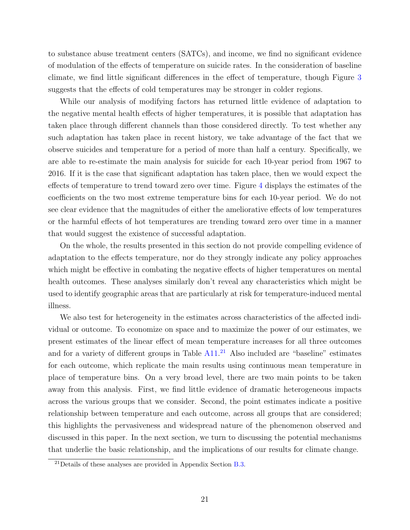to substance abuse treatment centers (SATCs), and income, we find no significant evidence of modulation of the effects of temperature on suicide rates. In the consideration of baseline climate, we find little significant differences in the effect of temperature, though Figure [3](#page-31-0) suggests that the effects of cold temperatures may be stronger in colder regions.

While our analysis of modifying factors has returned little evidence of adaptation to the negative mental health effects of higher temperatures, it is possible that adaptation has taken place through different channels than those considered directly. To test whether any such adaptation has taken place in recent history, we take advantage of the fact that we observe suicides and temperature for a period of more than half a century. Specifically, we are able to re-estimate the main analysis for suicide for each 10-year period from 1967 to 2016. If it is the case that significant adaptation has taken place, then we would expect the effects of temperature to trend toward zero over time. Figure [4](#page-32-0) displays the estimates of the coefficients on the two most extreme temperature bins for each 10-year period. We do not see clear evidence that the magnitudes of either the ameliorative effects of low temperatures or the harmful effects of hot temperatures are trending toward zero over time in a manner that would suggest the existence of successful adaptation.

On the whole, the results presented in this section do not provide compelling evidence of adaptation to the effects temperature, nor do they strongly indicate any policy approaches which might be effective in combating the negative effects of higher temperatures on mental health outcomes. These analyses similarly don't reveal any characteristics which might be used to identify geographic areas that are particularly at risk for temperature-induced mental illness.

We also test for heterogeneity in the estimates across characteristics of the affected individual or outcome. To economize on space and to maximize the power of our estimates, we present estimates of the linear effect of mean temperature increases for all three outcomes and for a variety of different groups in Table  $A11<sup>21</sup>$  $A11<sup>21</sup>$  $A11<sup>21</sup>$  Also included are "baseline" estimates for each outcome, which replicate the main results using continuous mean temperature in place of temperature bins. On a very broad level, there are two main points to be taken away from this analysis. First, we find little evidence of dramatic heterogeneous impacts across the various groups that we consider. Second, the point estimates indicate a positive relationship between temperature and each outcome, across all groups that are considered; this highlights the pervasiveness and widespread nature of the phenomenon observed and discussed in this paper. In the next section, we turn to discussing the potential mechanisms that underlie the basic relationship, and the implications of our results for climate change.

<span id="page-20-0"></span> $^{21}$ Details of these analyses are provided in Appendix Section [B.3.](#page-52-0)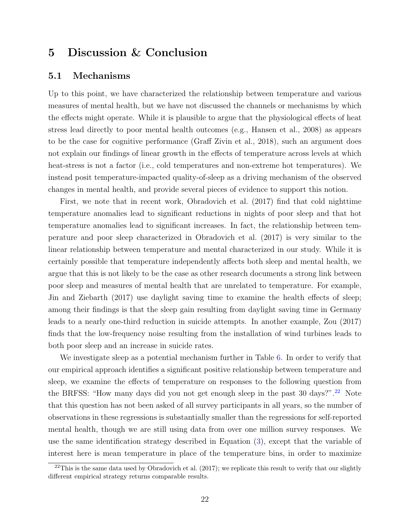## <span id="page-21-0"></span>5 Discussion & Conclusion

### 5.1 Mechanisms

Up to this point, we have characterized the relationship between temperature and various measures of mental health, but we have not discussed the channels or mechanisms by which the effects might operate. While it is plausible to argue that the physiological effects of heat stress lead directly to poor mental health outcomes (e.g., [Hansen et al.,](#page-26-5) [2008\)](#page-26-5) as appears to be the case for cognitive performance [\(Graff Zivin et al.,](#page-28-2) [2018\)](#page-28-2), such an argument does not explain our findings of linear growth in the effects of temperature across levels at which heat-stress is not a factor (i.e., cold temperatures and non-extreme hot temperatures). We instead posit temperature-impacted quality-of-sleep as a driving mechanism of the observed changes in mental health, and provide several pieces of evidence to support this notion.

First, we note that in recent work, [Obradovich et al.](#page-27-2) [\(2017\)](#page-27-2) find that cold nighttime temperature anomalies lead to significant reductions in nights of poor sleep and that hot temperature anomalies lead to significant increases. In fact, the relationship between temperature and poor sleep characterized in [Obradovich et al.](#page-27-2) [\(2017\)](#page-27-2) is very similar to the linear relationship between temperature and mental characterized in our study. While it is certainly possible that temperature independently affects both sleep and mental health, we argue that this is not likely to be the case as other research documents a strong link between poor sleep and measures of mental health that are unrelated to temperature. For example, [Jin and Ziebarth](#page-27-12) [\(2017\)](#page-27-12) use daylight saving time to examine the health effects of sleep; among their findings is that the sleep gain resulting from daylight saving time in Germany leads to a nearly one-third reduction in suicide attempts. In another example, [Zou](#page-28-3) [\(2017\)](#page-28-3) finds that the low-frequency noise resulting from the installation of wind turbines leads to both poor sleep and an increase in suicide rates.

We investigate sleep as a potential mechanism further in Table [6.](#page-38-0) In order to verify that our empirical approach identifies a significant positive relationship between temperature and sleep, we examine the effects of temperature on responses to the following question from the BRFSS: "How many days did you not get enough sleep in the past 30 days?".<sup>[22](#page-21-1)</sup> Note that this question has not been asked of all survey participants in all years, so the number of observations in these regressions is substantially smaller than the regressions for self-reported mental health, though we are still using data from over one million survey responses. We use the same identification strategy described in Equation [\(3\)](#page-11-2), except that the variable of interest here is mean temperature in place of the temperature bins, in order to maximize

<span id="page-21-1"></span> $^{22}$ This is the same data used by [Obradovich et al.](#page-27-2) [\(2017\)](#page-27-2); we replicate this result to verify that our slightly different empirical strategy returns comparable results.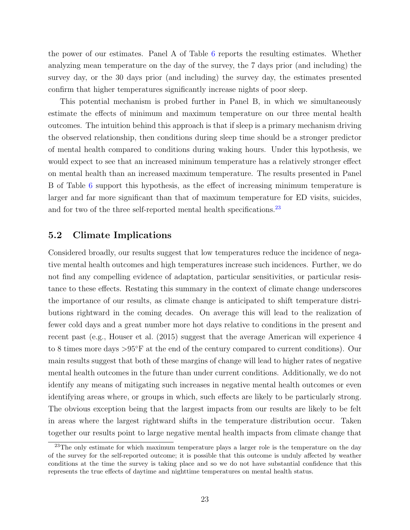the power of our estimates. Panel A of Table [6](#page-38-0) reports the resulting estimates. Whether analyzing mean temperature on the day of the survey, the 7 days prior (and including) the survey day, or the 30 days prior (and including) the survey day, the estimates presented confirm that higher temperatures significantly increase nights of poor sleep.

This potential mechanism is probed further in Panel B, in which we simultaneously estimate the effects of minimum and maximum temperature on our three mental health outcomes. The intuition behind this approach is that if sleep is a primary mechanism driving the observed relationship, then conditions during sleep time should be a stronger predictor of mental health compared to conditions during waking hours. Under this hypothesis, we would expect to see that an increased minimum temperature has a relatively stronger effect on mental health than an increased maximum temperature. The results presented in Panel B of Table [6](#page-38-0) support this hypothesis, as the effect of increasing minimum temperature is larger and far more significant than that of maximum temperature for ED visits, suicides, and for two of the three self-reported mental health specifications.<sup>[23](#page-22-0)</sup>

## 5.2 Climate Implications

Considered broadly, our results suggest that low temperatures reduce the incidence of negative mental health outcomes and high temperatures increase such incidences. Further, we do not find any compelling evidence of adaptation, particular sensitivities, or particular resistance to these effects. Restating this summary in the context of climate change underscores the importance of our results, as climate change is anticipated to shift temperature distributions rightward in the coming decades. On average this will lead to the realization of fewer cold days and a great number more hot days relative to conditions in the present and recent past (e.g., [Houser et al.](#page-26-12) [\(2015\)](#page-26-12) suggest that the average American will experience 4 to 8 times more days >95◦F at the end of the century compared to current conditions). Our main results suggest that both of these margins of change will lead to higher rates of negative mental health outcomes in the future than under current conditions. Additionally, we do not identify any means of mitigating such increases in negative mental health outcomes or even identifying areas where, or groups in which, such effects are likely to be particularly strong. The obvious exception being that the largest impacts from our results are likely to be felt in areas where the largest rightward shifts in the temperature distribution occur. Taken together our results point to large negative mental health impacts from climate change that

<span id="page-22-0"></span><sup>&</sup>lt;sup>23</sup>The only estimate for which maximum temperature plays a larger role is the temperature on the day of the survey for the self-reported outcome; it is possible that this outcome is unduly affected by weather conditions at the time the survey is taking place and so we do not have substantial confidence that this represents the true effects of daytime and nighttime temperatures on mental health status.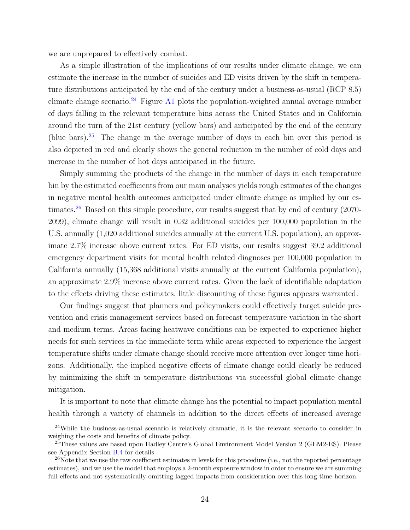we are unprepared to effectively combat.

As a simple illustration of the implications of our results under climate change, we can estimate the increase in the number of suicides and ED visits driven by the shift in temperature distributions anticipated by the end of the century under a business-as-usual (RCP 8.5) climate change scenario.<sup>[24](#page-23-0)</sup> Figure [A1](#page-39-0) plots the population-weighted annual average number of days falling in the relevant temperature bins across the United States and in California around the turn of the 21st century (yellow bars) and anticipated by the end of the century (blue bars).[25](#page-23-1) The change in the average number of days in each bin over this period is also depicted in red and clearly shows the general reduction in the number of cold days and increase in the number of hot days anticipated in the future.

Simply summing the products of the change in the number of days in each temperature bin by the estimated coefficients from our main analyses yields rough estimates of the changes in negative mental health outcomes anticipated under climate change as implied by our es-timates.<sup>[26](#page-23-2)</sup> Based on this simple procedure, our results suggest that by end of century  $(2070 -$ 2099), climate change will result in 0.32 additional suicides per 100,000 population in the U.S. annually (1,020 additional suicides annually at the current U.S. population), an approximate 2.7% increase above current rates. For ED visits, our results suggest 39.2 additional emergency department visits for mental health related diagnoses per 100,000 population in California annually (15,368 additional visits annually at the current California population), an approximate 2.9% increase above current rates. Given the lack of identifiable adaptation to the effects driving these estimates, little discounting of these figures appears warranted.

Our findings suggest that planners and policymakers could effectively target suicide prevention and crisis management services based on forecast temperature variation in the short and medium terms. Areas facing heatwave conditions can be expected to experience higher needs for such services in the immediate term while areas expected to experience the largest temperature shifts under climate change should receive more attention over longer time horizons. Additionally, the implied negative effects of climate change could clearly be reduced by minimizing the shift in temperature distributions via successful global climate change mitigation.

It is important to note that climate change has the potential to impact population mental health through a variety of channels in addition to the direct effects of increased average

<span id="page-23-0"></span><sup>&</sup>lt;sup>24</sup>While the business-as-usual scenario is relatively dramatic, it is the relevant scenario to consider in weighing the costs and benefits of climate policy.

<span id="page-23-1"></span><sup>&</sup>lt;sup>25</sup>These values are based upon Hadley Centre's Global Environment Model Version 2 (GEM2-ES). Please see Appendix Section [B.4](#page-54-0) for details.

<span id="page-23-2"></span> $^{26}$ Note that we use the raw coefficient estimates in levels for this procedure (i.e., not the reported percentage estimates), and we use the model that employs a 2-month exposure window in order to ensure we are summing full effects and not systematically omitting lagged impacts from consideration over this long time horizon.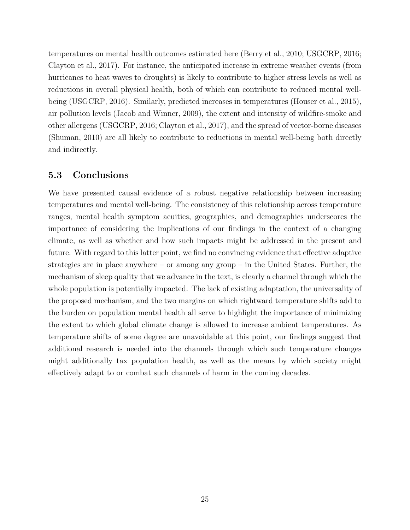temperatures on mental health outcomes estimated here [\(Berry et al.,](#page-25-10) [2010;](#page-25-10) [USGCRP,](#page-27-13) [2016;](#page-27-13) [Clayton et al.,](#page-25-11) [2017\)](#page-25-11). For instance, the anticipated increase in extreme weather events (from hurricanes to heat waves to droughts) is likely to contribute to higher stress levels as well as reductions in overall physical health, both of which can contribute to reduced mental wellbeing [\(USGCRP,](#page-27-13) [2016\)](#page-27-13). Similarly, predicted increases in temperatures [\(Houser et al.,](#page-26-12) [2015\)](#page-26-12), air pollution levels [\(Jacob and Winner,](#page-26-13) [2009\)](#page-26-13), the extent and intensity of wildfire-smoke and other allergens [\(USGCRP,](#page-27-13) [2016;](#page-27-13) [Clayton et al.,](#page-25-11) [2017\)](#page-25-11), and the spread of vector-borne diseases [\(Shuman,](#page-27-14) [2010\)](#page-27-14) are all likely to contribute to reductions in mental well-being both directly and indirectly.

## 5.3 Conclusions

We have presented causal evidence of a robust negative relationship between increasing temperatures and mental well-being. The consistency of this relationship across temperature ranges, mental health symptom acuities, geographies, and demographics underscores the importance of considering the implications of our findings in the context of a changing climate, as well as whether and how such impacts might be addressed in the present and future. With regard to this latter point, we find no convincing evidence that effective adaptive strategies are in place anywhere – or among any group – in the United States. Further, the mechanism of sleep quality that we advance in the text, is clearly a channel through which the whole population is potentially impacted. The lack of existing adaptation, the universality of the proposed mechanism, and the two margins on which rightward temperature shifts add to the burden on population mental health all serve to highlight the importance of minimizing the extent to which global climate change is allowed to increase ambient temperatures. As temperature shifts of some degree are unavoidable at this point, our findings suggest that additional research is needed into the channels through which such temperature changes might additionally tax population health, as well as the means by which society might effectively adapt to or combat such channels of harm in the coming decades.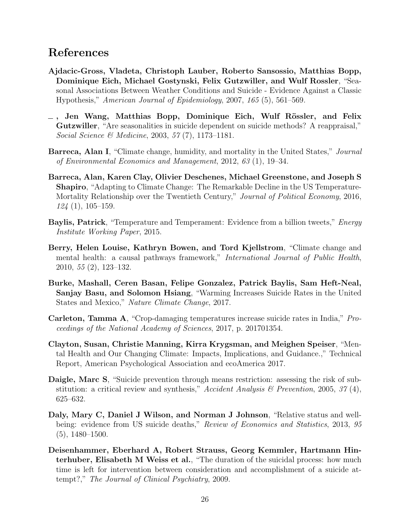## References

- <span id="page-25-3"></span>Ajdacic-Gross, Vladeta, Christoph Lauber, Roberto Sansossio, Matthias Bopp, Dominique Eich, Michael Gostynski, Felix Gutzwiller, and Wulf Rossler, "Seasonal Associations Between Weather Conditions and Suicide - Evidence Against a Classic Hypothesis," American Journal of Epidemiology, 2007, 165 (5), 561–569.
- <span id="page-25-7"></span> $-$ , Jen Wang, Matthias Bopp, Dominique Eich, Wulf Rössler, and Felix Gutzwiller, "Are seasonalities in suicide dependent on suicide methods? A reappraisal," Social Science & Medicine, 2003, 57 (7), 1173–1181.
- <span id="page-25-6"></span>Barreca, Alan I, "Climate change, humidity, and mortality in the United States," Journal of Environmental Economics and Management, 2012, 63 (1), 19–34.
- <span id="page-25-0"></span>Barreca, Alan, Karen Clay, Olivier Deschenes, Michael Greenstone, and Joseph S Shapiro, "Adapting to Climate Change: The Remarkable Decline in the US Temperature-Mortality Relationship over the Twentieth Century," Journal of Political Economy, 2016, 124 (1), 105–159.
- <span id="page-25-5"></span>Baylis, Patrick, "Temperature and Temperament: Evidence from a billion tweets," *Energy* Institute Working Paper, 2015.
- <span id="page-25-10"></span>Berry, Helen Louise, Kathryn Bowen, and Tord Kjellstrom, "Climate change and mental health: a causal pathways framework," International Journal of Public Health, 2010, 55 (2), 123–132.
- <span id="page-25-2"></span>Burke, Mashall, Ceren Basan, Felipe Gonzalez, Patrick Baylis, Sam Heft-Neal, Sanjay Basu, and Solomon Hsiang, "Warming Increases Suicide Rates in the United States and Mexico," Nature Climate Change, 2017.
- <span id="page-25-1"></span>Carleton, Tamma A, "Crop-damaging temperatures increase suicide rates in India," Proceedings of the National Academy of Sciences, 2017, p. 201701354.
- <span id="page-25-11"></span>Clayton, Susan, Christie Manning, Kirra Krygsman, and Meighen Speiser, "Mental Health and Our Changing Climate: Impacts, Implications, and Guidance.," Technical Report, American Psychological Association and ecoAmerica 2017.
- <span id="page-25-8"></span>Daigle, Marc S, "Suicide prevention through means restriction: assessing the risk of substitution: a critical review and synthesis," Accident Analysis & Prevention, 2005, 37 (4), 625–632.
- <span id="page-25-4"></span>Daly, Mary C, Daniel J Wilson, and Norman J Johnson, "Relative status and wellbeing: evidence from US suicide deaths," Review of Economics and Statistics, 2013, 95 (5), 1480–1500.
- <span id="page-25-9"></span>Deisenhammer, Eberhard A, Robert Strauss, Georg Kemmler, Hartmann Hinterhuber, Elisabeth M Weiss et al., "The duration of the suicidal process: how much time is left for intervention between consideration and accomplishment of a suicide attempt?," The Journal of Clinical Psychiatry, 2009.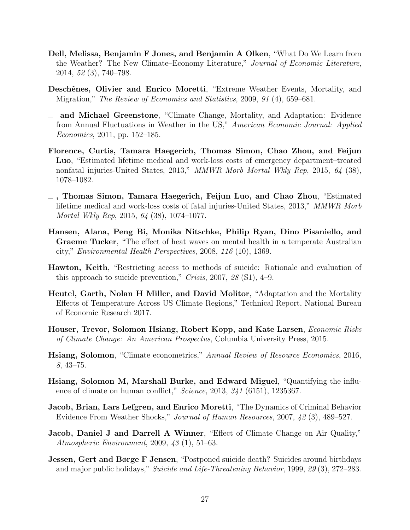- <span id="page-26-8"></span>Dell, Melissa, Benjamin F Jones, and Benjamin A Olken, "What Do We Learn from the Weather? The New Climate–Economy Literature," Journal of Economic Literature, 2014, 52 (3), 740–798.
- <span id="page-26-2"></span>Deschênes, Olivier and Enrico Moretti, "Extreme Weather Events, Mortality, and Migration," The Review of Economics and Statistics, 2009, 91 (4), 659–681.
- <span id="page-26-3"></span>and Michael Greenstone, "Climate Change, Mortality, and Adaptation: Evidence from Annual Fluctuations in Weather in the US," American Economic Journal: Applied Economics, 2011, pp. 152–185.
- <span id="page-26-1"></span>Florence, Curtis, Tamara Haegerich, Thomas Simon, Chao Zhou, and Feijun Luo, "Estimated lifetime medical and work-loss costs of emergency department–treated nonfatal injuries-United States, 2013," MMWR Morb Mortal Wkly Rep, 2015, 64 (38), 1078–1082.
- <span id="page-26-0"></span>, Thomas Simon, Tamara Haegerich, Feijun Luo, and Chao Zhou, "Estimated lifetime medical and work-loss costs of fatal injuries-United States, 2013," MMWR Morb Mortal Wkly Rep, 2015, 64 (38), 1074–1077.
- <span id="page-26-5"></span>Hansen, Alana, Peng Bi, Monika Nitschke, Philip Ryan, Dino Pisaniello, and Graeme Tucker, "The effect of heat waves on mental health in a temperate Australian city," Environmental Health Perspectives, 2008, 116 (10), 1369.
- <span id="page-26-11"></span>Hawton, Keith, "Restricting access to methods of suicide: Rationale and evaluation of this approach to suicide prevention," Crisis, 2007, 28  $(S1)$ , 4–9.
- <span id="page-26-4"></span>Heutel, Garth, Nolan H Miller, and David Molitor, "Adaptation and the Mortality Effects of Temperature Across US Climate Regions," Technical Report, National Bureau of Economic Research 2017.
- <span id="page-26-12"></span>Houser, Trevor, Solomon Hsiang, Robert Kopp, and Kate Larsen, Economic Risks of Climate Change: An American Prospectus, Columbia University Press, 2015.
- <span id="page-26-9"></span>Hsiang, Solomon, "Climate econometrics," Annual Review of Resource Economics, 2016, 8, 43–75.
- <span id="page-26-6"></span>Hsiang, Solomon M, Marshall Burke, and Edward Miguel, "Quantifying the influence of climate on human conflict," Science, 2013,  $341$  (6151), 1235367.
- <span id="page-26-7"></span>Jacob, Brian, Lars Lefgren, and Enrico Moretti, "The Dynamics of Criminal Behavior Evidence From Weather Shocks," Journal of Human Resources, 2007, 42 (3), 489–527.
- <span id="page-26-13"></span>Jacob, Daniel J and Darrell A Winner, "Effect of Climate Change on Air Quality," Atmospheric Environment, 2009, 43 (1), 51–63.
- <span id="page-26-10"></span>**Jessen, Gert and Børge F Jensen**, "Postponed suicide death? Suicides around birthdays and major public holidays," Suicide and Life-Threatening Behavior, 1999, 29 (3), 272–283.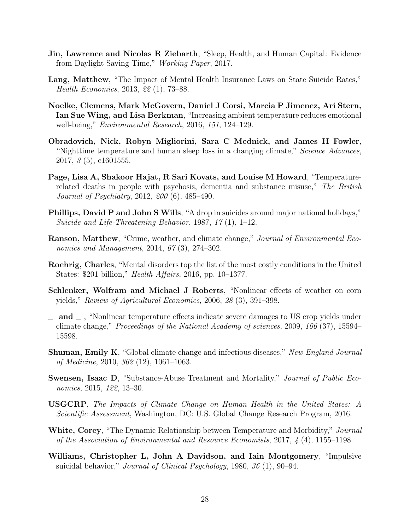- <span id="page-27-12"></span>Jin, Lawrence and Nicolas R Ziebarth, "Sleep, Health, and Human Capital: Evidence from Daylight Saving Time," Working Paper, 2017.
- <span id="page-27-6"></span>Lang, Matthew, "The Impact of Mental Health Insurance Laws on State Suicide Rates," Health Economics, 2013, 22 (1), 73–88.
- <span id="page-27-10"></span>Noelke, Clemens, Mark McGovern, Daniel J Corsi, Marcia P Jimenez, Ari Stern, Ian Sue Wing, and Lisa Berkman, "Increasing ambient temperature reduces emotional well-being," Environmental Research, 2016, 151, 124–129.
- <span id="page-27-2"></span>Obradovich, Nick, Robyn Migliorini, Sara C Mednick, and James H Fowler, "Nighttime temperature and human sleep loss in a changing climate," Science Advances, 2017, 3 (5), e1601555.
- <span id="page-27-3"></span>Page, Lisa A, Shakoor Hajat, R Sari Kovats, and Louise M Howard, "Temperaturerelated deaths in people with psychosis, dementia and substance misuse," The British Journal of Psychiatry, 2012, 200 (6), 485–490.
- <span id="page-27-8"></span>Phillips, David P and John S Wills, "A drop in suicides around major national holidays," Suicide and Life-Threatening Behavior, 1987, 17 (1), 1–12.
- <span id="page-27-4"></span>**Ranson, Matthew**, "Crime, weather, and climate change," *Journal of Environmental Eco*nomics and Management, 2014, 67 (3), 274–302.
- <span id="page-27-0"></span>Roehrig, Charles, "Mental disorders top the list of the most costly conditions in the United States: \$201 billion," Health Affairs, 2016, pp. 10–1377.
- <span id="page-27-11"></span>Schlenker, Wolfram and Michael J Roberts, "Nonlinear effects of weather on corn yields," Review of Agricultural Economics, 2006, 28 (3), 391–398.
- <span id="page-27-5"></span> $\equiv$  and  $\equiv$ , "Nonlinear temperature effects indicate severe damages to US crop yields under climate change," Proceedings of the National Academy of sciences, 2009, 106 (37), 15594– 15598.
- <span id="page-27-14"></span>**Shuman, Emily K**, "Global climate change and infectious diseases," New England Journal of Medicine, 2010, 362 (12), 1061–1063.
- <span id="page-27-7"></span>Swensen, Isaac D, "Substance-Abuse Treatment and Mortality," Journal of Public Economics, 2015, 122, 13–30.
- <span id="page-27-13"></span>USGCRP, The Impacts of Climate Change on Human Health in the United States: A Scientific Assessment, Washington, DC: U.S. Global Change Research Program, 2016.
- <span id="page-27-1"></span>White, Corey, "The Dynamic Relationship between Temperature and Morbidity," Journal of the Association of Environmental and Resource Economists, 2017, 4 (4), 1155–1198.
- <span id="page-27-9"></span>Williams, Christopher L, John A Davidson, and Iain Montgomery, "Impulsive suicidal behavior," Journal of Clinical Psychology, 1980, 36 (1), 90–94.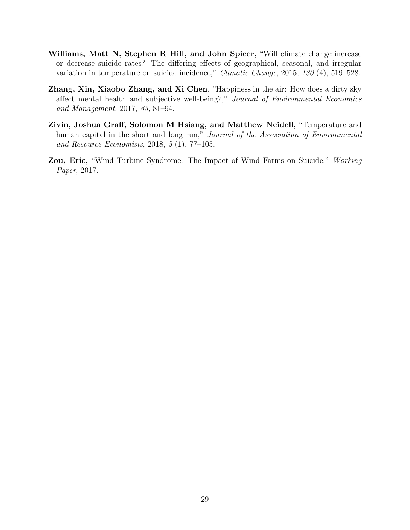- <span id="page-28-0"></span>Williams, Matt N, Stephen R Hill, and John Spicer, "Will climate change increase or decrease suicide rates? The differing effects of geographical, seasonal, and irregular variation in temperature on suicide incidence," Climatic Change, 2015, 130 (4), 519–528.
- <span id="page-28-1"></span>Zhang, Xin, Xiaobo Zhang, and Xi Chen, "Happiness in the air: How does a dirty sky affect mental health and subjective well-being?," Journal of Environmental Economics and Management, 2017, 85, 81–94.
- <span id="page-28-2"></span>Zivin, Joshua Graff, Solomon M Hsiang, and Matthew Neidell, "Temperature and human capital in the short and long run," Journal of the Association of Environmental and Resource Economists, 2018, 5 (1), 77–105.
- <span id="page-28-3"></span>Zou, Eric, "Wind Turbine Syndrome: The Impact of Wind Farms on Suicide," Working Paper, 2017.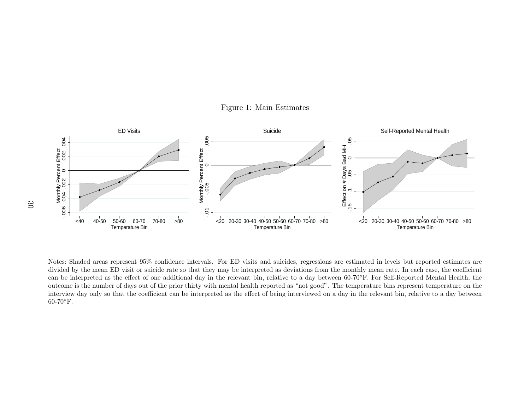<span id="page-29-0"></span>

Figure 1: Main Estimates

40-50 50-60 60-70 70-80 >80<br>
Temperature Bin<br>
ded areas represent 95% confidence<br>
the mean ED visit or suicide rate s<br>
rpreted as the effect of one additic<br>
the number of days out of the prior<br>
ay only so that the coeffici 20-30 30-40 40-50 50-60 60-70 70-80 >80<br>
Temperature Bin<br>
or ED visits and suicides, regression<br>
ay be interpreted as deviations from<br>
e relevant bin, relative to a day bet-<br>
nental health reported as "not good".<br>
l as the 20-30 30-40 40-50 50-60 60-70 70-80 >80<br>
Temperature Bin<br>
ted in levels but reported estimates<br>
r mean rate. In each case, the coefficiently.<br>
For Self-Reported Mental Health,<br>
cature bins represent temperature on<br>
e relev outcome is the number of days out of the prior thirty with mental health reported as "not good". The temperature bins represent temperature on the divided by the mean ED visit or suicide rate so that they may be interpreted as deviations from the monthly mean rate. In each case, the coefficient can be interpreted as the effect of one additional day in the relevant bin, relative to <sup>a</sup> day between 60-70◦F. For Self-Reported Mental Health, the interview day only so that the coefficient can be interpreted as the effect of being interviewed on <sup>a</sup> day in the relevant bin, relative to <sup>a</sup> day between60-70◦F.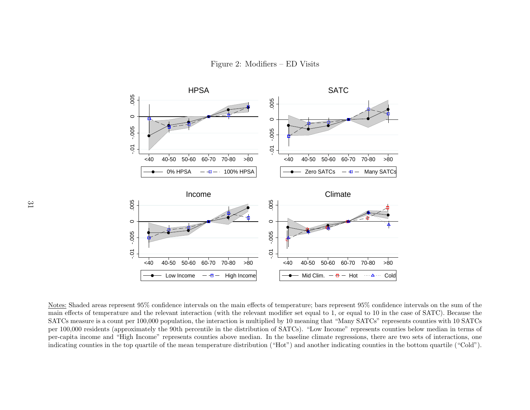Figure 2: Modifiers – ED Visits



<span id="page-30-0"></span> $40-50$  50-60 60-70 70-80 >80<br>  $\bullet$  Low Income  $\text{High Incom}$ <br>
confidence intervals on the main ef<br>
e relevant interaction (with the relevant interaction is muly the 90th percentile in the distrib<br>
ly the 90th percentile  $e$   $-\frac{1}{2}$   $-\frac{1}{2}$   $\frac{1}{2}$   $\frac{1}{2}$   $\frac{1}{2}$   $\frac{1}{2}$   $\frac{1}{2}$   $\frac{1}{2}$   $\frac{1}{2}$   $\frac{1}{2}$   $\frac{1}{2}$   $\frac{1}{2}$   $\frac{1}{2}$   $\frac{1}{2}$   $\frac{1}{2}$   $\frac{1}{2}$   $\frac{1}{2}$   $\frac{1}{2}$   $\frac{1}{2}$   $\frac{1}{2}$   $\frac{1}{2}$   $\frac{1}{2$  $40-50$  50-60 60-70 70-80 >80<br>  $\bullet$  Mid Clim.  $-\bullet$  Hot  $\bullet$   $\bullet$  Col<br>
erature; bars represent 95% confide<br>
r set equal to 1, or equal to 10 in tl<br>
0 meaning that "Many SATCs" repr<br>
CS). "Low Income" represents coun<br>
aseli Hot ColdNotes: Shaded areas represent 95% confidence intervals on the main effects of temperature; bars represent 95% confidence intervals on the sum of the contrained intervals on the relavant modifier set equal to 1, or equal t main effects of temperature and the relevant interaction (with the relevant modifier set equa<sup>l</sup> to 1, or equa<sup>l</sup> to <sup>10</sup> in the case of SATC). Because the SATCs measure is <sup>a</sup> count per 100,000 population, the interaction is multiplied by 10 meaning that "Many SATCs" represents counties with 10 SATCs per 100,000 residents (approximately the 90th percentile in the distribution of SATCs). "Low Income" represents counties below median in terms of per-capita income and "High Income" represents counties above median. In the baseline climate regressions, there are two sets of interactions, oneindicating counties in the top quartile of the mean temperature distribution ("Hot") and another indicating counties in the bottom quartile ("Cold").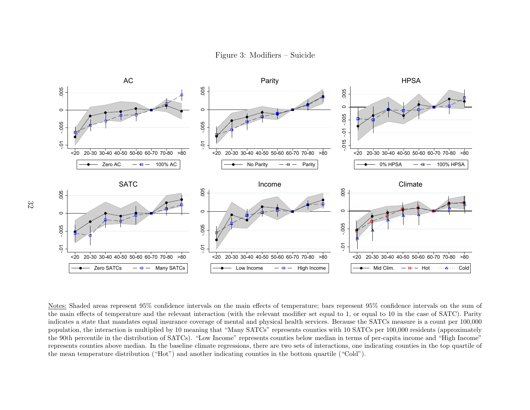

<span id="page-31-0"></span> $e$   $\overline{+}$   $\overline{+}$   $\overline{+}$   $\overline{+}$   $\overline{+}$   $\overline{+}$   $\overline{+}$   $\overline{+}$   $\overline{+}$   $\overline{+}$   $\overline{+}$   $\overline{+}$   $\overline{+}$   $\overline{+}$   $\overline{+}$   $\overline{+}$   $\overline{+}$   $\overline{+}$   $\overline{+}$   $\overline{+}$   $\overline{+}$   $\overline{+}$   $\overline{+}$  $\frac{60}{60}$  60-70 70-80  $\rightarrow$ 80<br>  $\frac{4}{60}$  60-70 70-80  $\rightarrow$ 80<br>  $\frac{4}{60}$   $\frac{4}{60}$   $\frac{4}{60}$   $\frac{4}{60}$   $\frac{4}{60}$   $\frac{4}{60}$   $\frac{4}{60}$   $\frac{4}{60}$   $\frac{4}{60}$   $\frac{4}{60}$   $\frac{4}{60}$   $\frac{4}{60}$   $\frac{4}{60}$   $\frac{4}{60}$   $\frac{$  $20-30$  30-40 40-50 50-60 60-70 70-80 >80<br>  $\bullet$  Mid Clim.  $-\bullet$  Hot  $\bullet$  Cold<br>  $\bullet$  Mid Clim.  $-\bullet$  Hot  $\bullet$  Cold<br>  $\bullet$  Cold<br>  $\bullet$  Cold Lim.  $-\bullet$  Hot  $\bullet$  Cold<br>  $\bullet$  Cold<br>  $\bullet$  Cold<br>  $\bullet$  Cold<br>  $\bullet$  Cold<br>  $\bullet$  Cold<br>  $\bullet$  Co the main effects of temperature and the relevant interaction (with the relevant modifier set equa<sup>l</sup> to 1, or equa<sup>l</sup> to <sup>10</sup> in the case of SATC). Parity indicates <sup>a</sup> state that mandates equal insurance coverage of mental and <sup>p</sup>hysical health services. Because the SATCs measure is <sup>a</sup> count per 100,000 population, the interaction is multiplied by <sup>10</sup> meaning that "Many SATCs" represents counties with <sup>10</sup> SATCs per 100,000 residents (approximately the 90th percentile in the distribution of SATCs). "Low Income" represents counties below median in terms of per-capita income and "High Income" represents counties above median. In the baseline climate regressions, there are two sets of interactions, one indicating counties in the top quartile ofthe mean temperature distribution ("Hot") and another indicating counties in the bottom quartile ("Cold").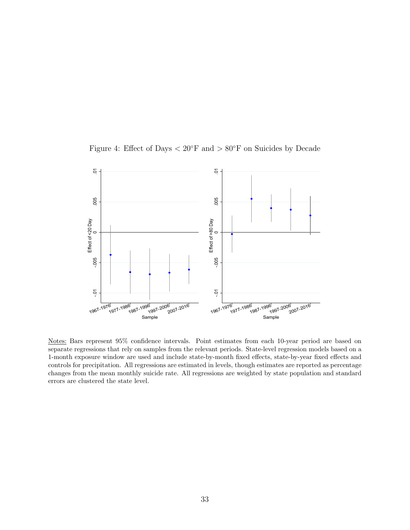<span id="page-32-0"></span>

Figure 4: Effect of Days  $< 20°$ F and  $> 80°$ F on Suicides by Decade

Notes: Bars represent 95% confidence intervals. Point estimates from each 10-year period are based on separate regressions that rely on samples from the relevant periods. State-level regression models based on a 1-month exposure window are used and include state-by-month fixed effects, state-by-year fixed effects and controls for precipitation. All regressions are estimated in levels, though estimates are reported as percentage changes from the mean monthly suicide rate. All regressions are weighted by state population and standard errors are clustered the state level.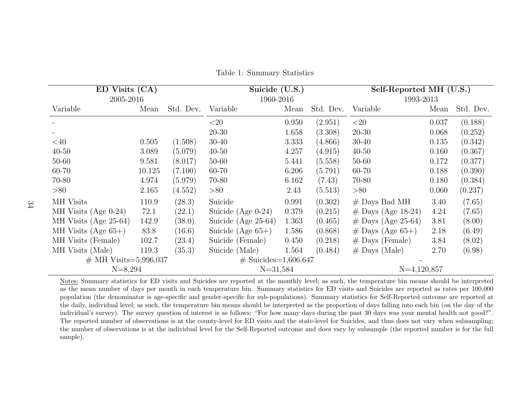| ED Visits (CA)           |        |           | Suicide (U.S.)          |       |           | Self-Reported MH (U.S.) |       |           |
|--------------------------|--------|-----------|-------------------------|-------|-----------|-------------------------|-------|-----------|
| 2005-2016                |        |           | 1960-2016               |       |           | 1993-2013               |       |           |
| Variable                 | Mean   | Std. Dev. | Variable                | Mean  | Std. Dev. | Variable                | Mean  | Std. Dev. |
|                          |        |           | ${<}20$                 | 0.950 | (2.951)   | ${<}20$                 | 0.037 | (0.188)   |
|                          |        |           | $20 - 30$               | 1.658 | (3.308)   | $20 - 30$               | 0.068 | (0.252)   |
| $<$ 40                   | 0.505  | (1.508)   | $30 - 40$               | 3.333 | (4.866)   | $30 - 40$               | 0.135 | (0.342)   |
| $40 - 50$                | 3.089  | (5.079)   | $40 - 50$               | 4.257 | (4.915)   | $40 - 50$               | 0.160 | (0.367)   |
| $50 - 60$                | 9.581  | (8.017)   | $50 - 60$               | 5.441 | (5.558)   | 50-60                   | 0.172 | (0.377)   |
| 60-70                    | 10.125 | (7.100)   | 60-70                   | 6.206 | (5.791)   | 60-70                   | 0.188 | (0.390)   |
| 70-80                    | 4.974  | (5.979)   | 70-80                   | 6.162 | (7.43)    | 70-80                   | 0.180 | (0.384)   |
| > 80                     | 2.165  | (4.552)   | > 80                    | 2.43  | (5.513)   | > 80                    | 0.060 | (0.237)   |
| MH Visits                | 110.9  | (28.3)    | Suicide                 | 0.991 | (0.302)   | $#$ Days Bad MH         | 3.40  | (7.65)    |
| MH Visits (Age $0-24$ )  | 72.1   | (22.1)    | Suicide (Age $0-24$ )   | 0.379 | (0.215)   | $#$ Days (Age 18-24)    | 4.24  | (7.65)    |
| MH Visits (Age $25-64$ ) | 142.9  | (38.0)    | Suicide (Age 25-64)     | 1.363 | (0.465)   | $#$ Days (Age 25-64)    | 3.81  | (8.00)    |
| MH Visits (Age $65+$ )   | 83.8   | (16.6)    | Suicide (Age $65+$ )    | 1.586 | (0.868)   | $#$ Days (Age 65+)      | 2.18  | (6.49)    |
| MH Visits (Female)       | 102.7  | (23.4)    | Suicide (Female)        | 0.450 | (0.218)   | $#$ Days (Female)       | 3.84  | (8.02)    |
| MH Visits (Male)         | 119.3  | (35.3)    | Suicide (Male)          | 1.564 | (0.484)   | $#$ Days (Male)         | 2.70  | (6.98)    |
| $#$ MH Visits=5,996,037  |        |           | $\#$ Suicides=1,606,647 |       |           |                         |       |           |
| $N = 8,294$              |        |           | $N = 31,584$            |       |           | $N=4,120,857$           |       |           |

<span id="page-33-0"></span>Table 1: Summary Statistics

Notes: Summary statistics for ED visits and Suicides are reported at the monthly level; as such, the temperature bin means should be interpreted as the mean number of days per month in each temperature bin. Summary statistics for ED visits and Suicides are reported as rates per 100,000 population (the denominator is age-specific and gender-specific for sub-populations). Summary statistics for Self-Reported outcome are reported at the daily, individual level; as such, the temperature bin means should be interpreted as the proportion of days falling into each bin (on the day of the individual's survey). The survey question of interest is as follows: "For how many days during the past <sup>30</sup> days was your mental health not good?". The reported number of observations is at the county-level for ED visits and the state-level for Suicides, and thus does not vary when subsampling; the number of observations is at the individual level for the Self-Reported outcome and does vary by subsample (the reported number is for the fullsample).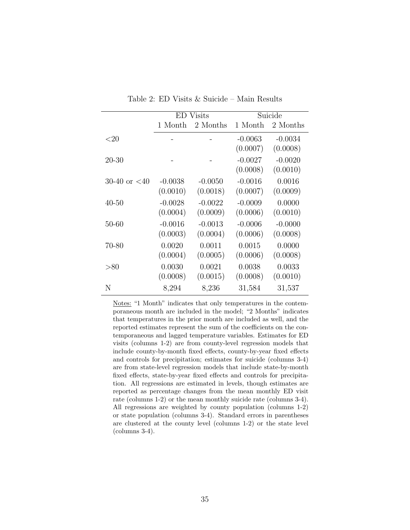<span id="page-34-0"></span>

|                 | ED        | Visits    |           | Suicide   |
|-----------------|-----------|-----------|-----------|-----------|
|                 | 1 Month   | 2 Months  | 1 Month   | 2 Months  |
| $<$ 20          |           |           | $-0.0063$ | $-0.0034$ |
|                 |           |           | (0.0007)  | (0.0008)  |
| $20 - 30$       |           |           | $-0.0027$ | $-0.0020$ |
|                 |           |           | (0.0008)  | (0.0010)  |
| 30-40 or $< 40$ | $-0.0038$ | $-0.0050$ | $-0.0016$ | 0.0016    |
|                 | (0.0010)  | (0.0018)  | (0.0007)  | (0.0009)  |
| $40 - 50$       | $-0.0028$ | $-0.0022$ | $-0.0009$ | 0.0000    |
|                 | (0.0004)  | (0.0009)  | (0.0006)  | (0.0010)  |
| $50 - 60$       | $-0.0016$ | $-0.0013$ | $-0.0006$ | $-0.0000$ |
|                 | (0.0003)  | (0.0004)  | (0.0006)  | (0.0008)  |
| 70-80           | 0.0020    | 0.0011    | 0.0015    | 0.0000    |
|                 | (0.0004)  | (0.0005)  | (0.0006)  | (0.0008)  |
| > 80            | 0.0030    | 0.0021    | 0.0038    | 0.0033    |
|                 | (0.0008)  | (0.0015)  | (0.0008)  | (0.0010)  |
| N               | 8,294     | 8,236     | 31,584    | 31,537    |

<span id="page-34-1"></span>Table 2: ED Visits & Suicide – Main Results

Notes: "1 Month" indicates that only temperatures in the contemporaneous month are included in the model; "2 Months" indicates that temperatures in the prior month are included as well, and the reported estimates represent the sum of the coefficients on the contemporaneous and lagged temperature variables. Estimates for ED visits (columns 1-2) are from county-level regression models that include county-by-month fixed effects, county-by-year fixed effects and controls for precipitation; estimates for suicide (columns 3-4) are from state-level regression models that include state-by-month fixed effects, state-by-year fixed effects and controls for precipitation. All regressions are estimated in levels, though estimates are reported as percentage changes from the mean monthly ED visit rate (columns 1-2) or the mean monthly suicide rate (columns 3-4). All regressions are weighted by county population (columns 1-2) or state population (columns 3-4). Standard errors in parentheses are clustered at the county level (columns 1-2) or the state level (columns 3-4).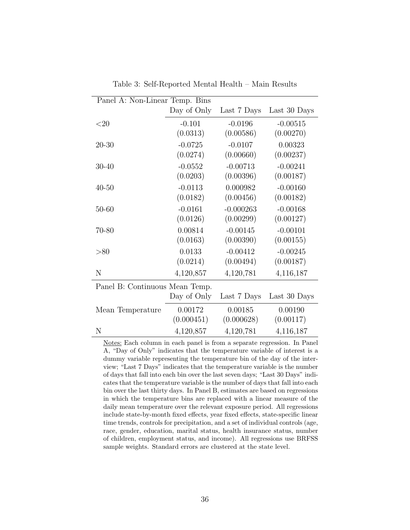<span id="page-35-0"></span>

| Panel A: Non-Linear Temp. Bins |             |             |              |
|--------------------------------|-------------|-------------|--------------|
|                                | Day of Only | Last 7 Days | Last 30 Days |
| $<$ 20                         | $-0.101$    | $-0.0196$   | $-0.00515$   |
|                                | (0.0313)    | (0.00586)   | (0.00270)    |
| $20 - 30$                      | $-0.0725$   | $-0.0107$   | 0.00323      |
|                                | (0.0274)    | (0.00660)   | (0.00237)    |
| 30-40                          | $-0.0552$   | $-0.00713$  | $-0.00241$   |
|                                | (0.0203)    | (0.00396)   | (0.00187)    |
| $40 - 50$                      | $-0.0113$   | 0.000982    | $-0.00160$   |
|                                | (0.0182)    | (0.00456)   | (0.00182)    |
| $50 - 60$                      | $-0.0161$   | $-0.000263$ | $-0.00168$   |
|                                | (0.0126)    | (0.00299)   | (0.00127)    |
| 70-80                          | 0.00814     | $-0.00145$  | $-0.00101$   |
|                                | (0.0163)    | (0.00390)   | (0.00155)    |
| > 80                           | 0.0133      | $-0.00412$  | $-0.00245$   |
|                                | (0.0214)    | (0.00494)   | (0.00187)    |
| N                              | 4,120,857   | 4,120,781   | 4,116,187    |
| Panel B: Continuous Mean Temp. |             |             |              |
|                                | Day of Only | Last 7 Days | Last 30 Days |
| Mean Temperature               | 0.00172     | 0.00185     | 0.00190      |
|                                | (0.000451)  | (0.000628)  | (0.00117)    |
| N                              | 4,120,857   | 4,120,781   | 4,116,187    |

<span id="page-35-1"></span>Table 3: Self-Reported Mental Health – Main Results

Notes: Each column in each panel is from a separate regression. In Panel A, "Day of Only" indicates that the temperature variable of interest is a dummy variable representing the temperature bin of the day of the interview; "Last 7 Days" indicates that the temperature variable is the number of days that fall into each bin over the last seven days; "Last 30 Days" indicates that the temperature variable is the number of days that fall into each bin over the last thirty days. In Panel B, estimates are based on regressions in which the temperature bins are replaced with a linear measure of the daily mean temperature over the relevant exposure period. All regressions include state-by-month fixed effects, year fixed effects, state-specific linear time trends, controls for precipitation, and a set of individual controls (age, race, gender, education, marital status, health insurance status, number of children, employment status, and income). All regressions use BRFSS sample weights. Standard errors are clustered at the state level.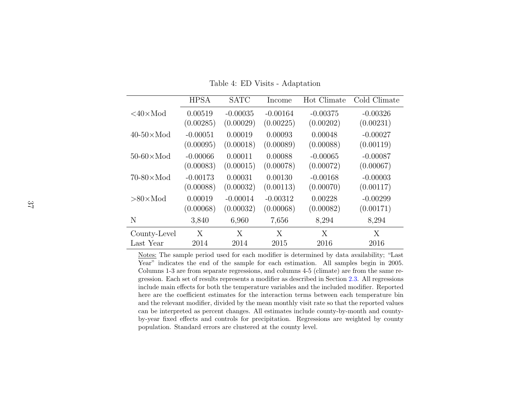|                           | <b>HPSA</b> | <b>SATC</b> | Income     | Hot Climate | Cold Climate |
|---------------------------|-------------|-------------|------------|-------------|--------------|
| $<$ 40 $\times$ Mod       | 0.00519     | $-0.00035$  | $-0.00164$ | $-0.00375$  | $-0.00326$   |
|                           | (0.00285)   | (0.00029)   | (0.00225)  | (0.00202)   | (0.00231)    |
| $40-50\times \text{Mod}$  | $-0.00051$  | 0.00019     | 0.00093    | 0.00048     | $-0.00027$   |
|                           | (0.00095)   | (0.00018)   | (0.00089)  | (0.00088)   | (0.00119)    |
| $50-60 \times \text{Mod}$ | $-0.00066$  | 0.00011     | 0.00088    | $-0.00065$  | $-0.00087$   |
|                           | (0.00083)   | (0.00015)   | (0.00078)  | (0.00072)   | (0.00067)    |
| $70-80 \times \text{Mod}$ | $-0.00173$  | 0.00031     | 0.00130    | $-0.00168$  | $-0.00003$   |
|                           | (0.00088)   | (0.00032)   | (0.00113)  | (0.00070)   | (0.00117)    |
| $>80\times$ Mod           | 0.00019     | $-0.00014$  | $-0.00312$ | 0.00228     | $-0.00299$   |
|                           | (0.00068)   | (0.00032)   | (0.00068)  | (0.00082)   | (0.00171)    |
| N                         | 3,840       | 6,960       | 7,656      | 8,294       | 8,294        |
| County-Level              | X           | X           | X          | X           | X            |
| Last Year                 | 2014        | 2014        | 2015       | 2016        | 2016         |

<span id="page-36-1"></span><span id="page-36-0"></span>Table 4: ED Visits - Adaptation

Notes: The sample period used for each modifier is determined by data availability; "Last Year" indicates the end of the sample for each estimation. All samples begin in 2005. Columns 1-3 are from separate regressions, and columns 4-5 (climate) are from the same regression. Each set of results represents <sup>a</sup> modifier as described in Section [2.3.](#page-8-1) All regressions include main effects for both the temperature variables and the included modifier. Reported here are the coefficient estimates for the interaction terms between each temperature bin and the relevant modifier, divided by the mean monthly visit rate so that the reported values can be interpreted as percent changes. All estimates include county-by-month and countyby-year fixed effects and controls for precipitation. Regressions are weighted by countypopulation. Standard errors are clustered at the county level.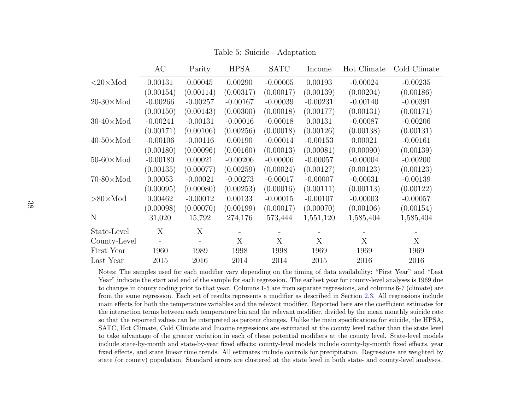|                           | AC         | Parity     | <b>HPSA</b> | <b>SATC</b> | Income     | Hot Climate | Cold Climate |
|---------------------------|------------|------------|-------------|-------------|------------|-------------|--------------|
| $<20\times$ Mod           | 0.00131    | 0.00045    | 0.00290     | $-0.00005$  | 0.00193    | $-0.00024$  | $-0.00235$   |
|                           | (0.00154)  | (0.00114)  | (0.00317)   | (0.00017)   | (0.00139)  | (0.00204)   | (0.00186)    |
| $20-30 \times \text{Mod}$ | $-0.00266$ | $-0.00257$ | $-0.00167$  | $-0.00039$  | $-0.00231$ | $-0.00140$  | $-0.00391$   |
|                           | (0.00150)  | (0.00143)  | (0.00300)   | (0.00018)   | (0.00177)  | (0.00131)   | (0.00171)    |
| $30-40 \times \text{Mod}$ | $-0.00241$ | $-0.00131$ | $-0.00016$  | $-0.00018$  | 0.00131    | $-0.00087$  | $-0.00206$   |
|                           | (0.00171)  | (0.00106)  | (0.00256)   | (0.00018)   | (0.00126)  | (0.00138)   | (0.00131)    |
| $40-50 \times \text{Mod}$ | $-0.00106$ | $-0.00116$ | 0.00190     | $-0.00014$  | $-0.00153$ | 0.00021     | $-0.00161$   |
|                           | (0.00180)  | (0.00096)  | (0.00160)   | (0.00013)   | (0.00081)  | (0.00090)   | (0.00139)    |
| $50-60 \times \text{Mod}$ | $-0.00180$ | 0.00021    | $-0.00206$  | $-0.00006$  | $-0.00057$ | $-0.00004$  | $-0.00200$   |
|                           | (0.00135)  | (0.00077)  | (0.00259)   | (0.00024)   | (0.00127)  | (0.00123)   | (0.00123)    |
| $70-80 \times \text{Mod}$ | 0.00053    | $-0.00021$ | $-0.00273$  | $-0.00017$  | $-0.00007$ | $-0.00031$  | $-0.00139$   |
|                           | (0.00095)  | (0.00080)  | (0.00253)   | (0.00016)   | (0.00111)  | (0.00113)   | (0.00122)    |
| $>80\times$ Mod           | 0.00462    | $-0.00012$ | 0.00133     | $-0.00015$  | $-0.00107$ | $-0.00003$  | $-0.00057$   |
|                           | (0.00098)  | (0.00070)  | (0.00199)   | (0.00017)   | (0.00070)  | (0.00106)   | (0.00154)    |
| N                         | 31,020     | 15,792     | 274,176     | 573,444     | 1,551,120  | 1,585,404   | 1,585,404    |
| State-Level               | X          | X          |             |             |            |             |              |
| County-Level              |            |            | X           | X           | X          | X           | X            |
| First Year                | 1960       | 1989       | 1998        | 1998        | 1969       | 1969        | 1969         |
| Last Year                 | 2015       | 2016       | 2014        | 2014        | 2015       | 2016        | 2016         |

<span id="page-37-1"></span><span id="page-37-0"></span>Table 5: Suicide - Adaptation

Notes: The samples used for each modifier vary depending on the timing of data availability; "First Year" and "Last Year" indicate the start and end of the sample for each regression. The earliest year for county-level analyses is 1969 due to changes in county coding prior to that year. Columns 1-5 are from separate regressions, and columns 6-7 (climate) are from the same regression. Each set of results represents <sup>a</sup> modifier as described in Section [2.3.](#page-8-1) All regressions include main effects for both the temperature variables and the relevant modifier. Reported here are the coefficient estimates for the interaction terms between each temperature bin and the relevant modifier, divided by the mean monthly suicide rate so that the reported values can be interpreted as percent changes. Unlike the main specifications for suicide, the HPSA,SATC, Hot Climate, Cold Climate and Income regressions are estimated at the county level rather than the state levelto take advantage of the greater variation in each of these potential modifiers at the county level. State-level models include state-by-month and state-by-year fixed effects; county-level models include county-by-month fixed effects, year fixed effects, and state linear time trends. All estimates include controls for precipitation. Regressions are weighted bystate (or county) population. Standard errors are clustered at the state level in both state- and county-level analyses.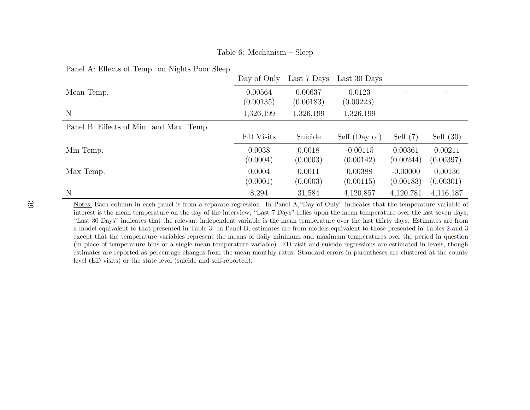| Panel A: Effects of Temp. on Nights Poor Sleep |                      |                      |                         |                         |                      |
|------------------------------------------------|----------------------|----------------------|-------------------------|-------------------------|----------------------|
|                                                | Day of Only          | Last 7 Days          | Last 30 Days            |                         |                      |
| Mean Temp.                                     | 0.00564<br>(0.00135) | 0.00637<br>(0.00183) | 0.0123<br>(0.00223)     |                         |                      |
| N                                              | 1,326,199            | 1,326,199            | 1,326,199               |                         |                      |
| Panel B: Effects of Min. and Max. Temp.        |                      |                      |                         |                         |                      |
|                                                | <b>ED</b> Visits     | Suicide              | Self (Day of)           | Self $(7)$              | Self $(30)$          |
| Min Temp.                                      | 0.0038<br>(0.0004)   | 0.0018<br>(0.0003)   | $-0.00115$<br>(0.00142) | 0.00361<br>(0.00244)    | 0.00211<br>(0.00397) |
| Max Temp.                                      | 0.0004<br>(0.0001)   | 0.0011<br>(0.0003)   | 0.00388<br>(0.00115)    | $-0.00000$<br>(0.00183) | 0.00136<br>(0.00301) |
| N                                              | 8,294                | 31,584               | 4,120,857               | 4,120,781               | 4,116,187            |

<span id="page-38-0"></span>Table 6: Mechanism – Sleep

Notes: Each column in each panel is from a separate regression. In Panel A, "Day of Only" indicates that the temperature variable of interest is the mean temperature on the day of the interview; "Last 7 Days" relies upon the mean temperature over the last seven days; "Last 30 Days" indicates that the relevant independent variable is the mean temperature over the last thirty days. Estimates are from <sup>a</sup> model equivalent to that presented in Table [3.](#page-35-1) In Panel B, estimates are from models equivalent to those presented in Tables [2](#page-34-1) and [3](#page-35-1) except that the temperature variables represent the means of daily minimum and maximum temperatures over the period in question (in <sup>p</sup>lace of temperature bins or <sup>a</sup> single mean temperature variable). ED visit and suicide regressions are estimated in levels, though estimates are reported as percentage changes from the mean monthly rates. Standard errors in parentheses are clustered at the countylevel (ED visits) or the state level (suicide and self-reported).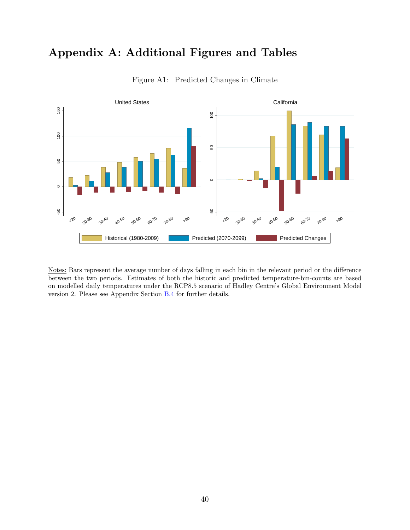## Appendix A: Additional Figures and Tables

<span id="page-39-0"></span>

Figure A1: Predicted Changes in Climate

Notes: Bars represent the average number of days falling in each bin in the relevant period or the difference between the two periods. Estimates of both the historic and predicted temperature-bin-counts are based on modelled daily temperatures under the RCP8.5 scenario of Hadley Centre's Global Environment Model version 2. Please see Appendix Section [B.4](#page-54-0) for further details.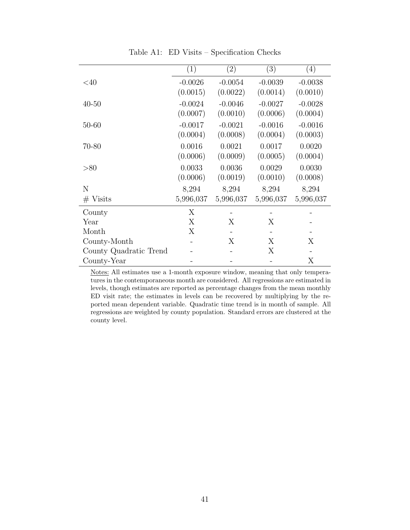<span id="page-40-0"></span> $(1)$   $(2)$   $(3)$   $(4)$  $<40$  -0.0026 -0.0054 -0.0039 -0.0038  $(0.0015)$   $(0.0022)$   $(0.0014)$   $(0.0010)$ 40-50 -0.0024 -0.0046 -0.0027 -0.0028  $(0.0007)$   $(0.0010)$   $(0.0006)$   $(0.0004)$ 50-60 -0.0017 -0.0021 -0.0016 -0.0016  $(0.0004)$   $(0.0008)$   $(0.0004)$   $(0.0003)$ 70-80 0.0016 0.0021 0.0017 0.0020  $(0.0006)$   $(0.0009)$   $(0.0005)$   $(0.0004)$ >80 0.0033 0.0036 0.0029 0.0030  $(0.0006)$   $(0.0019)$   $(0.0010)$   $(0.0008)$ N 8,294 8,294 8,294 8,294 # Visits 5,996,037 5,996,037 5,996,037 5,996,037  $\text{Country}$   $\text{X}$  - - - - $Year$   $X$   $X$   $X$  -Month  $X$  - - - -County-Month - X X X

Table A1: ED Visits – Specification Checks

Notes: All estimates use a 1-month exposure window, meaning that only temperatures in the contemporaneous month are considered. All regressions are estimated in levels, though estimates are reported as percentage changes from the mean monthly ED visit rate; the estimates in levels can be recovered by multiplying by the reported mean dependent variable. Quadratic time trend is in month of sample. All regressions are weighted by county population. Standard errors are clustered at the county level.

County Quadratic Trend - - X - County-Year - - X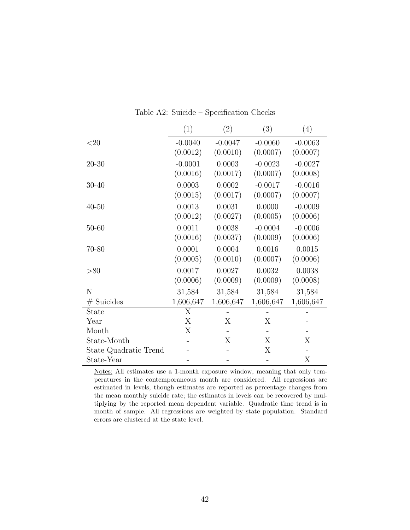<span id="page-41-0"></span>

|                       | (1)                   | $\left( 2\right)$     | (3)                   | (4)                   |
|-----------------------|-----------------------|-----------------------|-----------------------|-----------------------|
| $<$ 20                | $-0.0040$<br>(0.0012) | $-0.0047$<br>(0.0010) | $-0.0060$<br>(0.0007) | $-0.0063$<br>(0.0007) |
| $20 - 30$             | $-0.0001$<br>(0.0016) | 0.0003<br>(0.0017)    | $-0.0023$<br>(0.0007) | $-0.0027$<br>(0.0008) |
| $30 - 40$             | 0.0003<br>(0.0015)    | 0.0002<br>(0.0017)    | $-0.0017$<br>(0.0007) | $-0.0016$<br>(0.0007) |
| $40 - 50$             | 0.0013<br>(0.0012)    | 0.0031<br>(0.0027)    | 0.0000<br>(0.0005)    | $-0.0009$<br>(0.0006) |
| $50 - 60$             | 0.0011<br>(0.0016)    | 0.0038<br>(0.0037)    | $-0.0004$<br>(0.0009) | $-0.0006$<br>(0.0006) |
| 70-80                 | 0.0001<br>(0.0005)    | 0.0004<br>(0.0010)    | 0.0016<br>(0.0007)    | 0.0015<br>(0.0006)    |
| > 80                  | 0.0017<br>(0.0006)    | 0.0027<br>(0.0009)    | 0.0032<br>(0.0009)    | 0.0038<br>(0.0008)    |
| N                     | 31,584                | 31,584                | 31,584                | 31,584                |
| $#$ Suicides          | 1,606,647             | 1,606,647             | 1,606,647             | 1,606,647             |
| State                 | X                     |                       |                       |                       |
| Year                  | X                     | Х                     | Х                     |                       |
| Month                 | X                     |                       |                       |                       |
| State-Month           |                       | Χ                     | Χ                     | X                     |
| State Quadratic Trend |                       |                       | Х                     |                       |
| State-Year            |                       |                       |                       | Х                     |

Table A2: Suicide – Specification Checks

Notes: All estimates use a 1-month exposure window, meaning that only temperatures in the contemporaneous month are considered. All regressions are estimated in levels, though estimates are reported as percentage changes from the mean monthly suicide rate; the estimates in levels can be recovered by multiplying by the reported mean dependent variable. Quadratic time trend is in month of sample. All regressions are weighted by state population. Standard errors are clustered at the state level.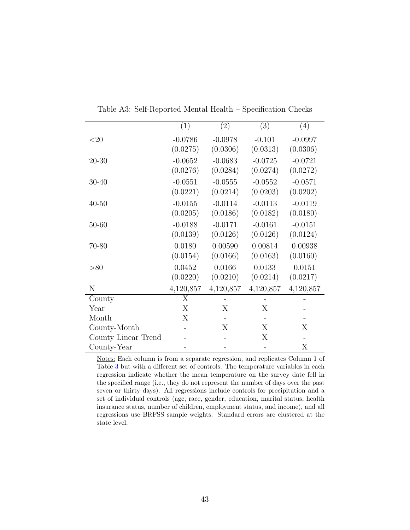<span id="page-42-0"></span>

|                     | (1)       | $\left( 2\right)$ | (3)       | (4)       |
|---------------------|-----------|-------------------|-----------|-----------|
| $<$ 20              | $-0.0786$ | $-0.0978$         | $-0.101$  | $-0.0997$ |
|                     | (0.0275)  | (0.0306)          | (0.0313)  | (0.0306)  |
| $20 - 30$           | $-0.0652$ | $-0.0683$         | $-0.0725$ | $-0.0721$ |
|                     | (0.0276)  | (0.0284)          | (0.0274)  | (0.0272)  |
| $30 - 40$           | $-0.0551$ | $-0.0555$         | $-0.0552$ | $-0.0571$ |
|                     | (0.0221)  | (0.0214)          | (0.0203)  | (0.0202)  |
| $40 - 50$           | $-0.0155$ | $-0.0114$         | $-0.0113$ | $-0.0119$ |
|                     | (0.0205)  | (0.0186)          | (0.0182)  | (0.0180)  |
| $50 - 60$           | $-0.0188$ | $-0.0171$         | $-0.0161$ | $-0.0151$ |
|                     | (0.0139)  | (0.0126)          | (0.0126)  | (0.0124)  |
| 70-80               | 0.0180    | 0.00590           | 0.00814   | 0.00938   |
|                     | (0.0154)  | (0.0166)          | (0.0163)  | (0.0160)  |
| > 80                | 0.0452    | 0.0166            | 0.0133    | 0.0151    |
|                     | (0.0220)  | (0.0210)          | (0.0214)  | (0.0217)  |
| N                   | 4,120,857 | 4,120,857         | 4,120,857 | 4,120,857 |
| County              | X         |                   |           |           |
| Year                | X         | X                 | X         |           |
| Month               | X         |                   |           |           |
| County-Month        |           | X                 | X         | X         |
| County Linear Trend |           |                   | Χ         |           |
| County-Year         |           |                   |           | X         |

Table A3: Self-Reported Mental Health – Specification Checks

Notes: Each column is from a separate regression, and replicates Column 1 of Table [3](#page-35-0) but with a different set of controls. The temperature variables in each regression indicate whether the mean temperature on the survey date fell in the specified range (i.e., they do not represent the number of days over the past seven or thirty days). All regressions include controls for precipitation and a set of individual controls (age, race, gender, education, marital status, health insurance status, number of children, employment status, and income), and all regressions use BRFSS sample weights. Standard errors are clustered at the state level.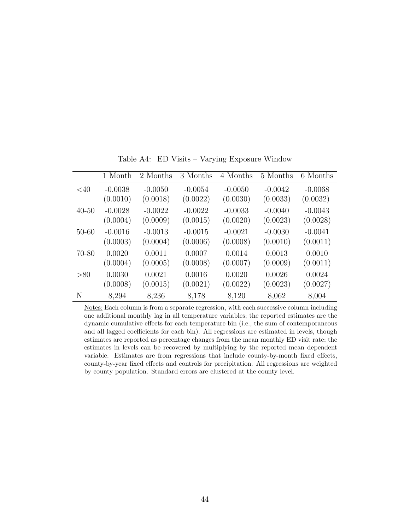<span id="page-43-0"></span>

|           | 1 Month   | 2 Months  | 3 Months  | 4 Months  | 5 Months  | 6 Months  |
|-----------|-----------|-----------|-----------|-----------|-----------|-----------|
| $<$ 40    | $-0.0038$ | $-0.0050$ | $-0.0054$ | $-0.0050$ | $-0.0042$ | $-0.0068$ |
|           | (0.0010)  | (0.0018)  | (0.0022)  | (0.0030)  | (0.0033)  | (0.0032)  |
| $40 - 50$ | $-0.0028$ | $-0.0022$ | $-0.0022$ | $-0.0033$ | $-0.0040$ | $-0.0043$ |
|           | (0.0004)  | (0.0009)  | (0.0015)  | (0.0020)  | (0.0023)  | (0.0028)  |
| $50 - 60$ | $-0.0016$ | $-0.0013$ | $-0.0015$ | $-0.0021$ | $-0.0030$ | $-0.0041$ |
|           | (0.0003)  | (0.0004)  | (0.0006)  | (0.0008)  | (0.0010)  | (0.0011)  |
| $70 - 80$ | 0.0020    | 0.0011    | 0.0007    | 0.0014    | 0.0013    | 0.0010    |
|           | (0.0004)  | (0.0005)  | (0.0008)  | (0.0007)  | (0.0009)  | (0.0011)  |
| > 80      | 0.0030    | 0.0021    | 0.0016    | 0.0020    | 0.0026    | 0.0024    |
|           | (0.0008)  | (0.0015)  | (0.0021)  | (0.0022)  | (0.0023)  | (0.0027)  |
| N         | 8,294     | 8,236     | 8,178     | 8,120     | 8,062     | 8,004     |

Table A4: ED Visits – Varying Exposure Window

Notes: Each column is from a separate regression, with each successive column including one additional monthly lag in all temperature variables; the reported estimates are the dynamic cumulative effects for each temperature bin (i.e., the sum of contemporaneous and all lagged coefficients for each bin). All regressions are estimated in levels, though estimates are reported as percentage changes from the mean monthly ED visit rate; the estimates in levels can be recovered by multiplying by the reported mean dependent variable. Estimates are from regressions that include county-by-month fixed effects, county-by-year fixed effects and controls for precipitation. All regressions are weighted by county population. Standard errors are clustered at the county level.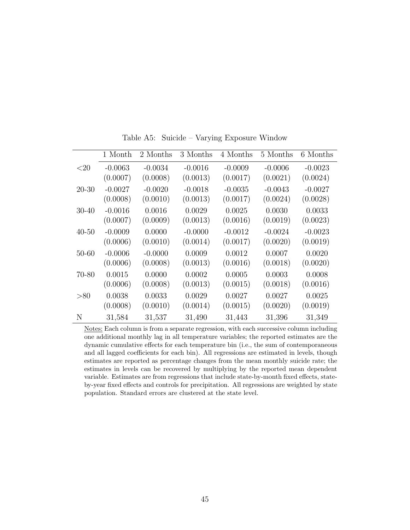<span id="page-44-0"></span>

|           | 1 Month   | 2 Months  | 3 Months  | 4 Months  | 5 Months  | 6 Months  |
|-----------|-----------|-----------|-----------|-----------|-----------|-----------|
| ${<}20$   | $-0.0063$ | $-0.0034$ | $-0.0016$ | $-0.0009$ | $-0.0006$ | $-0.0023$ |
|           | (0.0007)  | (0.0008)  | (0.0013)  | (0.0017)  | (0.0021)  | (0.0024)  |
| $20 - 30$ | $-0.0027$ | $-0.0020$ | $-0.0018$ | $-0.0035$ | $-0.0043$ | $-0.0027$ |
|           | (0.0008)  | (0.0010)  | (0.0013)  | (0.0017)  | (0.0024)  | (0.0028)  |
| $30 - 40$ | $-0.0016$ | 0.0016    | 0.0029    | 0.0025    | 0.0030    | 0.0033    |
|           | (0.0007)  | (0.0009)  | (0.0013)  | (0.0016)  | (0.0019)  | (0.0023)  |
| $40 - 50$ | $-0.0009$ | 0.0000    | $-0.0000$ | $-0.0012$ | $-0.0024$ | $-0.0023$ |
|           | (0.0006)  | (0.0010)  | (0.0014)  | (0.0017)  | (0.0020)  | (0.0019)  |
| 50-60     | $-0.0006$ | $-0.0000$ | 0.0009    | 0.0012    | 0.0007    | 0.0020    |
|           | (0.0006)  | (0.0008)  | (0.0013)  | (0.0016)  | (0.0018)  | (0.0020)  |
| 70-80     | 0.0015    | 0.0000    | 0.0002    | 0.0005    | 0.0003    | 0.0008    |
|           | (0.0006)  | (0.0008)  | (0.0013)  | (0.0015)  | (0.0018)  | (0.0016)  |
| > 80      | 0.0038    | 0.0033    | 0.0029    | 0.0027    | 0.0027    | 0.0025    |
|           | (0.0008)  | (0.0010)  | (0.0014)  | (0.0015)  | (0.0020)  | (0.0019)  |
| N         | 31,584    | 31,537    | 31,490    | 31,443    | 31,396    | 31,349    |

Table A5: Suicide – Varying Exposure Window

Notes: Each column is from a separate regression, with each successive column including one additional monthly lag in all temperature variables; the reported estimates are the dynamic cumulative effects for each temperature bin (i.e., the sum of contemporaneous and all lagged coefficients for each bin). All regressions are estimated in levels, though estimates are reported as percentage changes from the mean monthly suicide rate; the estimates in levels can be recovered by multiplying by the reported mean dependent variable. Estimates are from regressions that include state-by-month fixed effects, stateby-year fixed effects and controls for precipitation. All regressions are weighted by state population. Standard errors are clustered at the state level.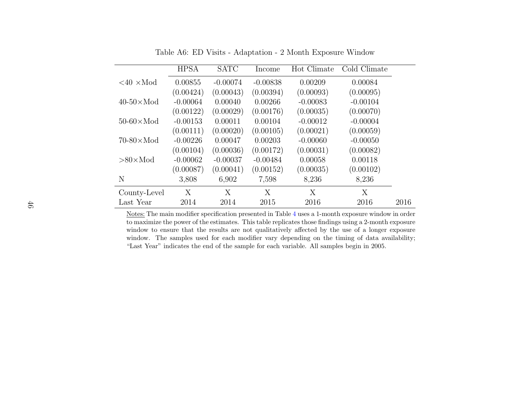|                                | <b>HPSA</b> | <b>SATC</b> | Income     | Hot Climate | Cold Climate |      |
|--------------------------------|-------------|-------------|------------|-------------|--------------|------|
| $\langle 40 \times 10 \rangle$ | 0.00855     | $-0.00074$  | $-0.00838$ | 0.00209     | 0.00084      |      |
|                                | (0.00424)   | (0.00043)   | (0.00394)  | (0.00093)   | (0.00095)    |      |
| $40-50 \times \text{Mod}$      | $-0.00064$  | 0.00040     | 0.00266    | $-0.00083$  | $-0.00104$   |      |
|                                | (0.00122)   | (0.00029)   | (0.00176)  | (0.00035)   | (0.00070)    |      |
| $50-60 \times \text{Mod}$      | $-0.00153$  | 0.00011     | 0.00104    | $-0.00012$  | $-0.00004$   |      |
|                                | (0.00111)   | (0.00020)   | (0.00105)  | (0.00021)   | (0.00059)    |      |
| $70-80 \times \text{Mod}$      | $-0.00226$  | 0.00047     | 0.00203    | $-0.00060$  | $-0.00050$   |      |
|                                | (0.00104)   | (0.00036)   | (0.00172)  | (0.00031)   | (0.00082)    |      |
| $>80\times$ Mod                | $-0.00062$  | $-0.00037$  | $-0.00484$ | 0.00058     | 0.00118      |      |
|                                | (0.00087)   | (0.00041)   | (0.00152)  | (0.00035)   | (0.00102)    |      |
| N                              | 3,808       | 6,902       | 7,598      | 8,236       | 8,236        |      |
| County-Level                   | X           | Χ           | X          | X           | X            |      |
| Last Year                      | 2014        | 2014        | 2015       | 2016        | 2016         | 2016 |

Table A6: ED Visits - Adaptation - 2 Month Exposure Window

<span id="page-45-0"></span>Notes: The main modifier specification presented in Table [4](#page-36-1) uses <sup>a</sup> 1-month exposure window in order to maximize the power of the estimates. This table replicates those findings using <sup>a</sup> 2-month exposure window to ensure that the results are not qualitatively affected by the use of <sup>a</sup> longer exposure window. The samples used for each modifier vary depending on the timing of data availability;"Last Year" indicates the end of the sample for each variable. All samples begin in 2005.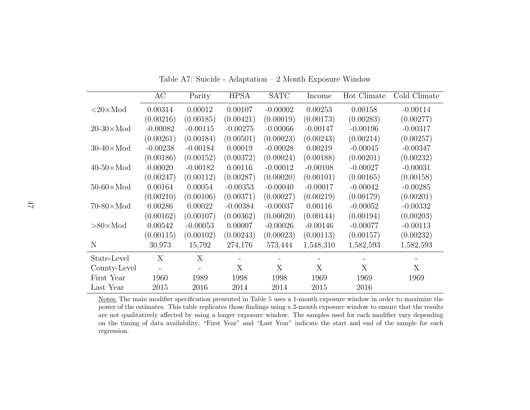|                           | AC         | Parity     | <b>HPSA</b> | <b>SATC</b> | Income     | Hot Climate | Cold Climate |
|---------------------------|------------|------------|-------------|-------------|------------|-------------|--------------|
| $<$ 20 $\times$ Mod       | 0.00314    | 0.00012    | 0.00107     | $-0.00002$  | 0.00253    | 0.00158     | $-0.00114$   |
|                           | (0.00216)  | (0.00185)  | (0.00421)   | (0.00019)   | (0.00173)  | (0.00283)   | (0.00277)    |
| $20-30 \times$ Mod        | $-0.00082$ | $-0.00115$ | $-0.00275$  | $-0.00066$  | $-0.00147$ | $-0.00196$  | $-0.00317$   |
|                           | (0.00261)  | (0.00184)  | (0.00501)   | (0.00023)   | (0.00243)  | (0.00214)   | (0.00257)    |
| $30-40 \times \text{Mod}$ | $-0.00238$ | $-0.00184$ | 0.00019     | $-0.00028$  | 0.00219    | $-0.00045$  | $-0.00347$   |
|                           | (0.00186)  | (0.00152)  | (0.00372)   | (0.00024)   | (0.00188)  | (0.00201)   | (0.00232)    |
| $40-50 \times \text{Mod}$ | 0.00020    | $-0.00182$ | 0.00116     | $-0.00012$  | $-0.00108$ | $-0.00027$  | $-0.00031$   |
|                           | (0.00247)  | (0.00112)  | (0.00287)   | (0.00020)   | (0.00101)  | (0.00165)   | (0.00158)    |
| $50-60 \times \text{Mod}$ | 0.00164    | 0.00054    | $-0.00353$  | $-0.00040$  | $-0.00017$ | $-0.00042$  | $-0.00285$   |
|                           | (0.00210)  | (0.00106)  | (0.00371)   | (0.00027)   | (0.00219)  | (0.00179)   | (0.00201)    |
| $70-80 \times \text{Mod}$ | 0.00286    | 0.00022    | $-0.00384$  | $-0.00037$  | 0.00116    | $-0.00052$  | $-0.00332$   |
|                           | (0.00162)  | (0.00107)  | (0.00362)   | (0.00020)   | (0.00144)  | (0.00194)   | (0.00203)    |
| $>80\times$ Mod           | 0.00542    | $-0.00053$ | 0.00007     | $-0.00026$  | $-0.00146$ | $-0.00077$  | $-0.00113$   |
|                           | (0.00115)  | (0.00102)  | (0.00243)   | (0.00023)   | (0.00113)  | (0.00157)   | (0.00232)    |
| N                         | 30,973     | 15,792     | 274,176     | 573,444     | 1,548,310  | 1,582,593   | 1,582,593    |
| State-Level               | X          | X          |             | -           |            |             |              |
| County-Level              |            |            | X           | X           | X          | X           | X            |
| First Year                | 1960       | 1989       | 1998        | 1998        | 1969       | 1969        | 1969         |
| Last Year                 | 2015       | 2016       | 2014        | 2014        | 2015       | 2016        |              |

Table A7: Suicide - Adaptation – 2 Month Exposure Window

<span id="page-46-0"></span>Notes: The main modifier specification presented in Table [5](#page-37-1) uses <sup>a</sup> 1-month exposure window in order to maximize the power of the estimates. This table replicates those findings using <sup>a</sup> 2-month exposure window to ensure that the results are not qualitatively affected by using <sup>a</sup> longer exposure window. The samples used for each modifier vary depending on the timing of data availability; "First Year" and "Last Year" indicate the start and end of the sample for eachregression.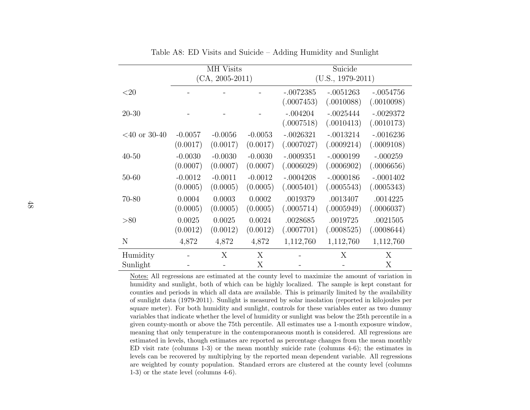|                 | MH Visits         |           |           | Suicide             |             |             |  |
|-----------------|-------------------|-----------|-----------|---------------------|-------------|-------------|--|
|                 | $(CA, 2005-2011)$ |           |           | $(U.S., 1979-2011)$ |             |             |  |
| ${<}20$         |                   |           |           | $-.0072385$         | $-.0051263$ | $-.0054756$ |  |
|                 |                   |           |           | (.0007453)          | (.0010088)  | (.0010098)  |  |
| $20 - 30$       |                   |           |           | $-.004204$          | $-.0025444$ | $-.0029372$ |  |
|                 |                   |           |           | (.0007518)          | (.0010413)  | (.0010173)  |  |
| $<$ 40 or 30-40 | $-0.0057$         | $-0.0056$ | $-0.0053$ | $-.0026321$         | $-.0013214$ | $-.0016236$ |  |
|                 | (0.0017)          | (0.0017)  | (0.0017)  | (.0007027)          | (.0009214)  | (.0009108)  |  |
| $40 - 50$       | $-0.0030$         | $-0.0030$ | $-0.0030$ | $-.0009351$         | $-.0000199$ | $-.000259$  |  |
|                 | (0.0007)          | (0.0007)  | (0.0007)  | (.0006029)          | (.0006902)  | (.0006656)  |  |
| 50-60           | $-0.0012$         | $-0.0011$ | $-0.0012$ | $-.0004208$         | $-.0000186$ | $-.0001402$ |  |
|                 | (0.0005)          | (0.0005)  | (0.0005)  | (.0005401)          | (.0005543)  | (.0005343)  |  |
| 70-80           | 0.0004            | 0.0003    | 0.0002    | .0019379            | .0013407    | .0014225    |  |
|                 | (0.0005)          | (0.0005)  | (0.0005)  | (.0005714)          | (.0005949)  | (.0006037)  |  |
| > 80            | 0.0025            | 0.0025    | 0.0024    | .0028685            | .0019725    | .0021505    |  |
|                 | (0.0012)          | (0.0012)  | (0.0012)  | (.0007701)          | (.0008525)  | (.0008644)  |  |
| N               | 4,872             | 4,872     | 4,872     | 1,112,760           | 1,112,760   | 1,112,760   |  |
| Humidity        |                   | X         | X         |                     | X           | X           |  |
| Sunlight        |                   |           | Х         |                     |             | Χ           |  |

<span id="page-47-0"></span>Table A8: ED Visits and Suicide – Adding Humidity and Sunlight

 Notes: All regressions are estimated at the county level to maximize the amount of variation in humidity and sunlight, both of which can be highly localized. The sample is kept constant for counties and periods in which all data are available. This is primarily limited by the availability of sunlight data (1979-2011). Sunlight is measured by solar insolation (reported in kilojoules per square meter). For both humidity and sunlight, controls for these variables enter as two dummy variables that indicate whether the level of humidity or sunlight was below the 25th percentile in <sup>a</sup> given county-month or above the 75th percentile. All estimates use <sup>a</sup> 1-month exposure window, meaning that only temperature in the contemporaneous month is considered. All regressions are estimated in levels, though estimates are reported as percentage changes from the mean monthly ED visit rate (columns 1-3) or the mean monthly suicide rate (columns 4-6); the estimates in levels can be recovered by multiplying by the reported mean dependent variable. All regressions are weighted by county population. Standard errors are clustered at the county level (columns1-3) or the state level (columns 4-6).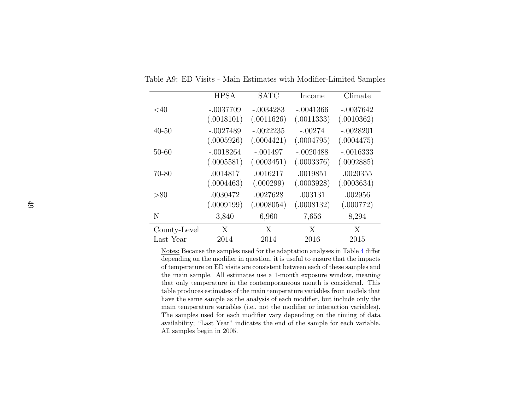|              | <b>HPSA</b> | <b>SATC</b> | Income      | Climate     |
|--------------|-------------|-------------|-------------|-------------|
| ${<}40$      | $-.0037709$ | $-.0034283$ | $-.0041366$ | $-.0037642$ |
|              | (.0018101)  | (.0011626)  | (.0011333)  | (.0010362)  |
| $40 - 50$    | $-.0027489$ | $-.0022235$ | $-.00274$   | $-.0028201$ |
|              | (.0005926)  | (.0004421)  | (.0004795)  | (.0004475)  |
| $50 - 60$    | $-.0018264$ | $-.001497$  | $-.0020488$ | $-.0016333$ |
|              | (.0005581)  | (.0003451)  | (.0003376)  | (.0002885)  |
| $70 - 80$    | .0014817    | .0016217    | .0019851    | .0020355    |
|              | (.0004463)  | (.000299)   | (.0003928)  | (.0003634)  |
| > 80         | .0030472    | .0027628    | .003131     | .002956     |
|              | (.0009199)  | (.0008054)  | (.0008132)  | (.000772)   |
| N            | 3,840       | 6,960       | 7,656       | 8,294       |
| County-Level | X           | X           | X           | X           |
| Last Year    | 2014        | 2014        | 2016        | 2015        |

Table A9: ED Visits - Main Estimates with Modifier-Limited Samples

Notes: Because the samples used for the adaptation analyses in Table [4](#page-36-1) differ depending on the modifier in question, it is useful to ensure that the impacts of temperature on ED visits are consistent between each of these samples and the main sample. All estimates use <sup>a</sup> 1-month exposure window, meaning that only temperature in the contemporaneous month is considered. This table produces estimates of the main temperature variables from models that have the same sample as the analysis of each modifier, but include only the main temperature variables (i.e., not the modifier or interaction variables). The samples used for each modifier vary depending on the timing of data availability; "Last Year" indicates the end of the sample for each variable.All samples begin in 2005.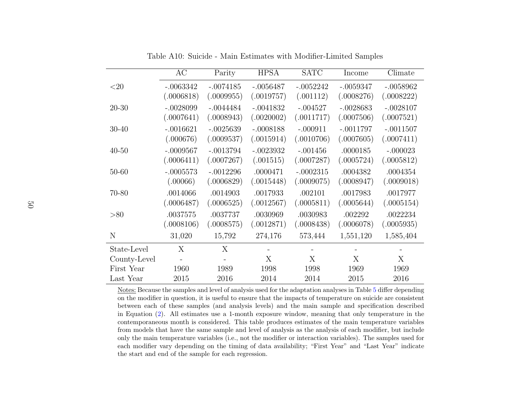|              | AC          | Parity      | <b>HPSA</b> | <b>SATC</b> | Income      | Climate     |
|--------------|-------------|-------------|-------------|-------------|-------------|-------------|
| $<$ 20       | $-.0063342$ | $-.0074185$ | $-.0056487$ | $-.0052242$ | $-.0059347$ | $-.0058962$ |
|              | (.0006818)  | (.0009955)  | (.0019757)  | (.001112)   | (.0008276)  | (.0008222)  |
| $20 - 30$    | $-.0028099$ | $-.0044484$ | $-.0041832$ | $-.004527$  | $-.0028683$ | $-.0028107$ |
|              | (.0007641)  | (.0008943)  | (.0020002)  | (.0011717)  | (.0007506)  | (.0007521)  |
| $30 - 40$    | $-.0016621$ | $-.0025639$ | $-.0008188$ | $-.000911$  | $-.0011797$ | $-.0011507$ |
|              | (.000676)   | (.0009537)  | (.0015914)  | (.0010706)  | (.0007605)  | (.0007411)  |
| $40 - 50$    | $-.0009567$ | $-.0013794$ | $-.0023932$ | $-.001456$  | .0000185    | $-.000023$  |
|              | (.0006411)  | (.0007267)  | (.001515)   | (.0007287)  | (.0005724)  | (.0005812)  |
| $50 - 60$    | $-.0005573$ | $-.0012296$ | .0000471    | $-.0002315$ | .0004382    | .0004354    |
|              | (.00066)    | (.0006829)  | (.0015448)  | (.0009075)  | (.0008947)  | (.0009018)  |
| 70-80        | .0014066    | .0014903    | .0017933    | .002101     | .0017983    | .0017977    |
|              | (.0006487)  | (.0006525)  | (.0012567)  | (.0005811)  | (.0005644)  | (.0005154)  |
| > 80         | .0037575    | .0037737    | .0030969    | .0030983    | .002292     | .0022234    |
|              | (.0008106)  | (.0008575)  | (.0012871)  | (.0008438)  | (.0006078)  | (.0005935)  |
| N            | 31,020      | 15,792      | 274,176     | 573,444     | 1,551,120   | 1,585,404   |
| State-Level  | X           | X           |             |             |             |             |
| County-Level |             |             | X           | X           | X           | X           |
| First Year   | 1960        | 1989        | 1998        | 1998        | 1969        | 1969        |
| Last Year    | 2015        | 2016        | 2014        | 2014        | 2015        | 2016        |

Table A10: Suicide - Main Estimates with Modifier-Limited Samples

Notes: Because the samples and level of analysis used for the adaptation analyses in Table [5](#page-37-1) differ depending on the modifier in question, it is useful to ensure that the impacts of temperature on suicide are consistent between each of these samples (and analysis levels) and the main sample and specification described in Equation [\(2\)](#page-11-3). All estimates use <sup>a</sup> 1-month exposure window, meaning that only temperature in the contemporaneous month is considered. This table produces estimates of the main temperature variables from models that have the same sample and level of analysis as the analysis of each modifier, but include only the main temperature variables (i.e., not the modifier or interaction variables). The samples used for each modifier vary depending on the timing of data availability; "First Year" and "Last Year" indicatethe start and end of the sample for each regression.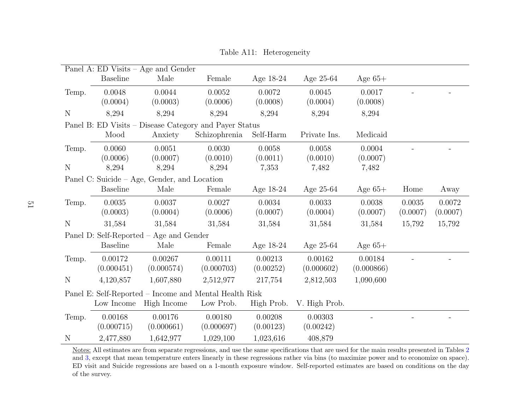| Panel A: ED Visits - Age and Gender                    |                                         |                                              |               |            |               |            |          |          |  |
|--------------------------------------------------------|-----------------------------------------|----------------------------------------------|---------------|------------|---------------|------------|----------|----------|--|
|                                                        | <b>Baseline</b>                         | Male                                         | Female        | Age 18-24  | Age $25-64$   | Age $65+$  |          |          |  |
| Temp.                                                  | 0.0048                                  | 0.0044                                       | 0.0052        | 0.0072     | 0.0045        | 0.0017     |          |          |  |
|                                                        | (0.0004)                                | (0.0003)                                     | (0.0006)      | (0.0008)   | (0.0004)      | (0.0008)   |          |          |  |
| N                                                      | 8,294                                   | 8,294                                        | 8,294         | 8,294      | 8,294         | 8,294      |          |          |  |
| Panel B: ED Visits – Disease Category and Payer Status |                                         |                                              |               |            |               |            |          |          |  |
|                                                        | Mood                                    | Anxiety                                      | Schizophrenia | Self-Harm  | Private Ins.  | Medicaid   |          |          |  |
| Temp.                                                  | 0.0060                                  | 0.0051                                       | 0.0030        | 0.0058     | 0.0058        | 0.0004     |          |          |  |
|                                                        | (0.0006)                                | (0.0007)                                     | (0.0010)      | (0.0011)   | (0.0010)      | (0.0007)   |          |          |  |
| N                                                      | 8,294                                   | 8,294                                        | 8,294         | 7,353      | 7,482         | 7,482      |          |          |  |
|                                                        |                                         | Panel C: Suicide – Age, Gender, and Location |               |            |               |            |          |          |  |
|                                                        | <b>Baseline</b>                         | Male                                         | Female        | Age 18-24  | Age 25-64     | Age $65+$  | Home     | Away     |  |
| Temp.                                                  | 0.0035                                  | 0.0037                                       | 0.0027        | 0.0034     | 0.0033        | 0.0038     | 0.0035   | 0.0072   |  |
|                                                        | (0.0003)                                | (0.0004)                                     | (0.0006)      | (0.0007)   | (0.0004)      | (0.0007)   | (0.0007) | (0.0007) |  |
| $\mathbf N$                                            | 31,584                                  | 31,584                                       | 31,584        | 31,584     | 31,584        | 31,584     | 15,792   | 15,792   |  |
|                                                        | Panel D: Self-Reported – Age and Gender |                                              |               |            |               |            |          |          |  |
|                                                        | <b>Baseline</b>                         | Male                                         | Female        | Age 18-24  | Age $25-64$   | Age $65+$  |          |          |  |
| Temp.                                                  | 0.00172                                 | 0.00267                                      | 0.00111       | 0.00213    | 0.00162       | 0.00184    |          |          |  |
|                                                        | (0.000451)                              | (0.000574)                                   | (0.000703)    | (0.00252)  | (0.000602)    | (0.000866) |          |          |  |
| N                                                      | 4,120,857                               | 1,607,880                                    | 2,512,977     | 217,754    | 2,812,503     | 1,090,600  |          |          |  |
| Panel E: Self-Reported – Income and Mental Health Risk |                                         |                                              |               |            |               |            |          |          |  |
|                                                        | Low Income                              | High Income                                  | Low Prob.     | High Prob. | V. High Prob. |            |          |          |  |
| Temp.                                                  | 0.00168                                 | 0.00176                                      | 0.00180       | 0.00208    | 0.00303       |            |          |          |  |
|                                                        | (0.000715)                              | (0.000661)                                   | (0.000697)    | (0.00123)  | (0.00242)     |            |          |          |  |
| N                                                      | 2,477,880                               | 1,642,977                                    | 1,029,100     | 1,023,616  | 408,879       |            |          |          |  |

Table A11: Heterogeneity

<span id="page-50-0"></span>Notes: All estimates are from separate regressions, and use the same specifications that are used for the main results presented in Tables [2](#page-34-1) and [3,](#page-35-1) except that mean temperature enters linearly in these regressions rather via bins (to maximize power and to economize on space). ED visit and Suicide regressions are based on <sup>a</sup> 1-month exposure window. Self-reported estimates are based on conditions on the dayof the survey.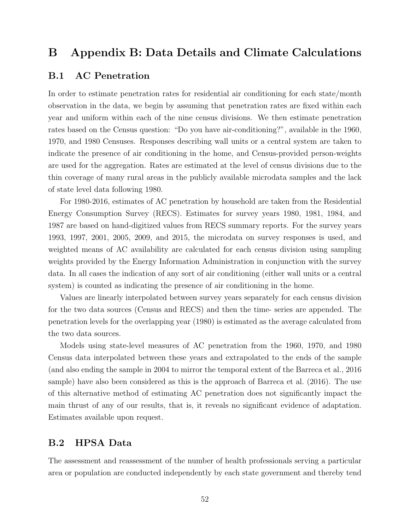## B Appendix B: Data Details and Climate Calculations

### <span id="page-51-0"></span>B.1 AC Penetration

In order to estimate penetration rates for residential air conditioning for each state/month observation in the data, we begin by assuming that penetration rates are fixed within each year and uniform within each of the nine census divisions. We then estimate penetration rates based on the Census question: "Do you have air-conditioning?", available in the 1960, 1970, and 1980 Censuses. Responses describing wall units or a central system are taken to indicate the presence of air conditioning in the home, and Census-provided person-weights are used for the aggregation. Rates are estimated at the level of census divisions due to the thin coverage of many rural areas in the publicly available microdata samples and the lack of state level data following 1980.

For 1980-2016, estimates of AC penetration by household are taken from the Residential Energy Consumption Survey (RECS). Estimates for survey years 1980, 1981, 1984, and 1987 are based on hand-digitized values from RECS summary reports. For the survey years 1993, 1997, 2001, 2005, 2009, and 2015, the microdata on survey responses is used, and weighted means of AC availability are calculated for each census division using sampling weights provided by the Energy Information Administration in conjunction with the survey data. In all cases the indication of any sort of air conditioning (either wall units or a central system) is counted as indicating the presence of air conditioning in the home.

Values are linearly interpolated between survey years separately for each census division for the two data sources (Census and RECS) and then the time- series are appended. The penetration levels for the overlapping year (1980) is estimated as the average calculated from the two data sources.

Models using state-level measures of AC penetration from the 1960, 1970, and 1980 Census data interpolated between these years and extrapolated to the ends of the sample (and also ending the sample in 2004 to mirror the temporal extent of the [Barreca et al.,](#page-25-0) [2016](#page-25-0) sample) have also been considered as this is the approach of [Barreca et al.](#page-25-0) [\(2016\)](#page-25-0). The use of this alternative method of estimating AC penetration does not significantly impact the main thrust of any of our results, that is, it reveals no significant evidence of adaptation. Estimates available upon request.

## <span id="page-51-1"></span>B.2 HPSA Data

The assessment and reassessment of the number of health professionals serving a particular area or population are conducted independently by each state government and thereby tend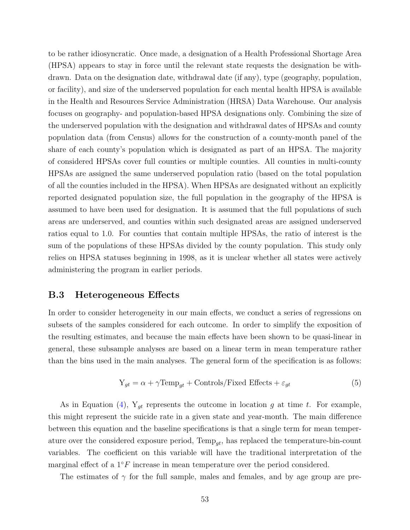to be rather idiosyncratic. Once made, a designation of a Health Professional Shortage Area (HPSA) appears to stay in force until the relevant state requests the designation be withdrawn. Data on the designation date, withdrawal date (if any), type (geography, population, or facility), and size of the underserved population for each mental health HPSA is available in the Health and Resources Service Administration (HRSA) Data Warehouse. Our analysis focuses on geography- and population-based HPSA designations only. Combining the size of the underserved population with the designation and withdrawal dates of HPSAs and county population data (from Census) allows for the construction of a county-month panel of the share of each county's population which is designated as part of an HPSA. The majority of considered HPSAs cover full counties or multiple counties. All counties in multi-county HPSAs are assigned the same underserved population ratio (based on the total population of all the counties included in the HPSA). When HPSAs are designated without an explicitly reported designated population size, the full population in the geography of the HPSA is assumed to have been used for designation. It is assumed that the full populations of such areas are underserved, and counties within such designated areas are assigned underserved ratios equal to 1.0. For counties that contain multiple HPSAs, the ratio of interest is the sum of the populations of these HPSAs divided by the county population. This study only relies on HPSA statuses beginning in 1998, as it is unclear whether all states were actively administering the program in earlier periods.

## <span id="page-52-0"></span>B.3 Heterogeneous Effects

In order to consider heterogeneity in our main effects, we conduct a series of regressions on subsets of the samples considered for each outcome. In order to simplify the exposition of the resulting estimates, and because the main effects have been shown to be quasi-linear in general, these subsample analyses are based on a linear term in mean temperature rather than the bins used in the main analyses. The general form of the specification is as follows:

$$
Y_{gt} = \alpha + \gamma \text{Temp}_{gt} + \text{Controls/Fixed Effects} + \varepsilon_{gt}
$$
\n(5)

As in Equation [\(4\)](#page-13-0),  $Y_{gt}$  represents the outcome in location g at time t. For example, this might represent the suicide rate in a given state and year-month. The main difference between this equation and the baseline specifications is that a single term for mean temperature over the considered exposure period,  $Temp_{at}$ , has replaced the temperature-bin-count variables. The coefficient on this variable will have the traditional interpretation of the marginal effect of a  $1°F$  increase in mean temperature over the period considered.

The estimates of  $\gamma$  for the full sample, males and females, and by age group are pre-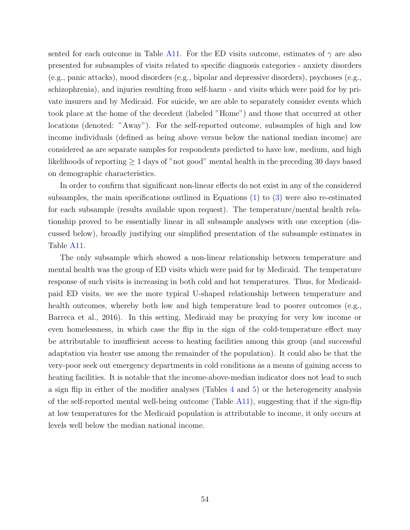sented for each outcome in Table [A11.](#page-50-0) For the ED visits outcome, estimates of  $\gamma$  are also presented for subsamples of visits related to specific diagnosis categories - anxiety disorders (e.g., panic attacks), mood disorders (e.g., bipolar and depressive disorders), psychoses (e.g., schizophrenia), and injuries resulting from self-harm - and visits which were paid for by private insurers and by Medicaid. For suicide, we are able to separately consider events which took place at the home of the decedent (labeled "Home") and those that occurred at other locations (denoted: "Away"). For the self-reported outcome, subsamples of high and low income individuals (defined as being above versus below the national median income) are considered as are separate samples for respondents predicted to have low, medium, and high likelihoods of reporting  $\geq 1$  days of "not good" mental health in the preceding 30 days based on demographic characteristics.

In order to confirm that significant non-linear effects do not exist in any of the considered subsamples, the main specifications outlined in Equations [\(1\)](#page-10-2) to [\(3\)](#page-11-2) were also re-estimated for each subsample (results available upon request). The temperature/mental health relationship proved to be essentially linear in all subsample analyses with one exception (discussed below), broadly justifying our simplified presentation of the subsample estimates in Table [A11.](#page-50-0)

The only subsample which showed a non-linear relationship between temperature and mental health was the group of ED visits which were paid for by Medicaid. The temperature response of such visits is increasing in both cold and hot temperatures. Thus, for Medicaidpaid ED visits, we see the more typical U-shaped relationship between temperature and health outcomes, whereby both low and high temperature lead to poorer outcomes (e.g., [Barreca et al.,](#page-25-0) [2016\)](#page-25-0). In this setting, Medicaid may be proxying for very low income or even homelessness, in which case the flip in the sign of the cold-temperature effect may be attributable to insufficient access to heating facilities among this group (and successful adaptation via heater use among the remainder of the population). It could also be that the very-poor seek out emergency departments in cold conditions as a means of gaining access to heating facilities. It is notable that the income-above-median indicator does not lead to such a sign flip in either of the modifier analyses (Tables [4](#page-36-0) and [5\)](#page-37-0) or the heterogeneity analysis of the self-reported mental well-being outcome (Table  $A11$ ), suggesting that if the sign-flip at low temperatures for the Medicaid population is attributable to income, it only occurs at levels well below the median national income.